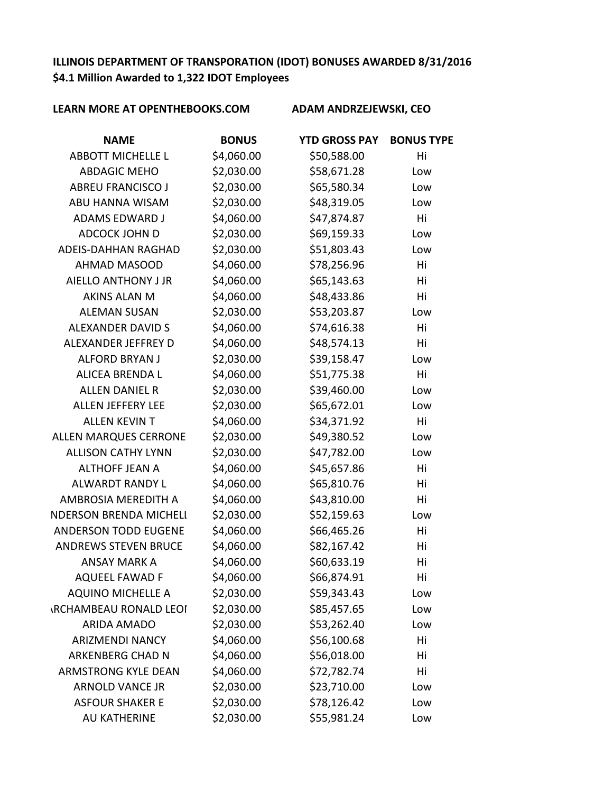# **ILLINOIS DEPARTMENT OF TRANSPORATION (IDOT) BONUSES AWARDED 8/31/2016 \$4.1 Million Awarded to 1,322 IDOT Employees**

| <b>NAME</b>                   | <b>BONUS</b> | <b>YTD GROSS PAY</b> | <b>BONUS TYPE</b> |
|-------------------------------|--------------|----------------------|-------------------|
| <b>ABBOTT MICHELLE L</b>      | \$4,060.00   | \$50,588.00          | Hi                |
| <b>ABDAGIC MEHO</b>           | \$2,030.00   | \$58,671.28          | Low               |
| <b>ABREU FRANCISCO J</b>      | \$2,030.00   | \$65,580.34          | Low               |
| ABU HANNA WISAM               | \$2,030.00   | \$48,319.05          | Low               |
| <b>ADAMS EDWARD J</b>         | \$4,060.00   | \$47,874.87          | Hi                |
| <b>ADCOCK JOHN D</b>          | \$2,030.00   | \$69,159.33          | Low               |
| ADEIS-DAHHAN RAGHAD           | \$2,030.00   | \$51,803.43          | Low               |
| <b>AHMAD MASOOD</b>           | \$4,060.00   | \$78,256.96          | Hi                |
| AIELLO ANTHONY J JR           | \$4,060.00   | \$65,143.63          | Hi                |
| <b>AKINS ALAN M</b>           | \$4,060.00   | \$48,433.86          | Hi                |
| <b>ALEMAN SUSAN</b>           | \$2,030.00   | \$53,203.87          | Low               |
| <b>ALEXANDER DAVID S</b>      | \$4,060.00   | \$74,616.38          | Hi                |
| ALEXANDER JEFFREY D           | \$4,060.00   | \$48,574.13          | Hi                |
| <b>ALFORD BRYAN J</b>         | \$2,030.00   | \$39,158.47          | Low               |
| <b>ALICEA BRENDA L</b>        | \$4,060.00   | \$51,775.38          | Hi                |
| <b>ALLEN DANIEL R</b>         | \$2,030.00   | \$39,460.00          | Low               |
| ALLEN JEFFERY LEE             | \$2,030.00   | \$65,672.01          | Low               |
| <b>ALLEN KEVIN T</b>          | \$4,060.00   | \$34,371.92          | Hi                |
| <b>ALLEN MARQUES CERRONE</b>  | \$2,030.00   | \$49,380.52          | Low               |
| <b>ALLISON CATHY LYNN</b>     | \$2,030.00   | \$47,782.00          | Low               |
| <b>ALTHOFF JEAN A</b>         | \$4,060.00   | \$45,657.86          | Hi                |
| <b>ALWARDT RANDY L</b>        | \$4,060.00   | \$65,810.76          | Hi                |
| AMBROSIA MEREDITH A           | \$4,060.00   | \$43,810.00          | Hi                |
| <b>NDERSON BRENDA MICHELI</b> | \$2,030.00   | \$52,159.63          | Low               |
| <b>ANDERSON TODD EUGENE</b>   | \$4,060.00   | \$66,465.26          | Hi                |
| <b>ANDREWS STEVEN BRUCE</b>   | \$4,060.00   | \$82,167.42          | Hi                |
| <b>ANSAY MARK A</b>           | \$4,060.00   | \$60,633.19          | Hi                |
| <b>AQUEEL FAWAD F</b>         | \$4,060.00   | \$66,874.91          | Hi                |
| <b>AQUINO MICHELLE A</b>      | \$2,030.00   | \$59,343.43          | Low               |
| <b>IRCHAMBEAU RONALD LEOI</b> | \$2,030.00   | \$85,457.65          | Low               |
| <b>ARIDA AMADO</b>            | \$2,030.00   | \$53,262.40          | Low               |
| <b>ARIZMENDI NANCY</b>        | \$4,060.00   | \$56,100.68          | Hi                |
| <b>ARKENBERG CHAD N</b>       | \$4,060.00   | \$56,018.00          | Hi                |
| <b>ARMSTRONG KYLE DEAN</b>    | \$4,060.00   | \$72,782.74          | Hi                |
| <b>ARNOLD VANCE JR</b>        | \$2,030.00   | \$23,710.00          | Low               |
| <b>ASFOUR SHAKER E</b>        | \$2,030.00   | \$78,126.42          | Low               |
| AU KATHERINE                  | \$2,030.00   | \$55,981.24          | Low               |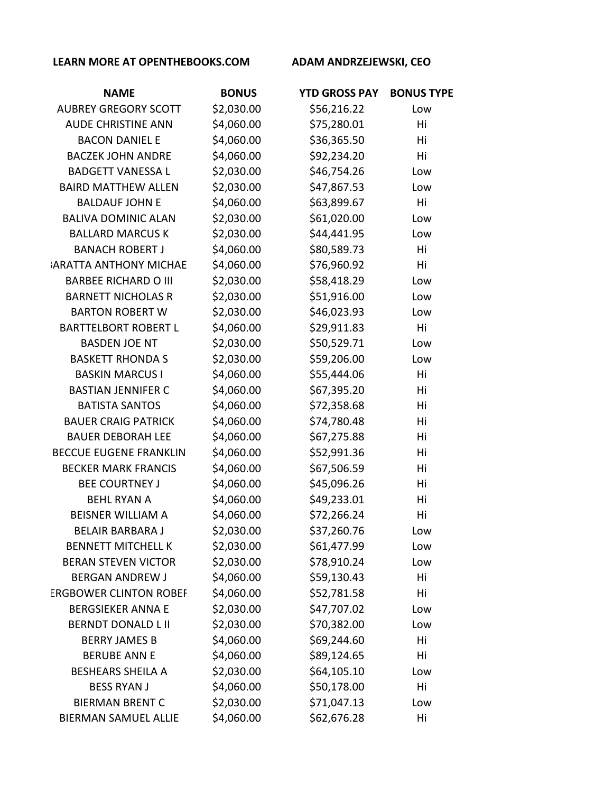| <b>NAME</b>                   | <b>BONUS</b> | <b>YTD GROSS PAY</b> | <b>BONUS TYPE</b> |
|-------------------------------|--------------|----------------------|-------------------|
| <b>AUBREY GREGORY SCOTT</b>   | \$2,030.00   | \$56,216.22          | Low               |
| <b>AUDE CHRISTINE ANN</b>     | \$4,060.00   | \$75,280.01          | Hi                |
| <b>BACON DANIEL E</b>         | \$4,060.00   | \$36,365.50          | Hi                |
| <b>BACZEK JOHN ANDRE</b>      | \$4,060.00   | \$92,234.20          | Hi                |
| <b>BADGETT VANESSA L</b>      | \$2,030.00   | \$46,754.26          | Low               |
| <b>BAIRD MATTHEW ALLEN</b>    | \$2,030.00   | \$47,867.53          | Low               |
| <b>BALDAUF JOHN E</b>         | \$4,060.00   | \$63,899.67          | Hi                |
| <b>BALIVA DOMINIC ALAN</b>    | \$2,030.00   | \$61,020.00          | Low               |
| <b>BALLARD MARCUS K</b>       | \$2,030.00   | \$44,441.95          | Low               |
| <b>BANACH ROBERT J</b>        | \$4,060.00   | \$80,589.73          | Hi                |
| <b>ARATTA ANTHONY MICHAE</b>  | \$4,060.00   | \$76,960.92          | Hi                |
| <b>BARBEE RICHARD O III</b>   | \$2,030.00   | \$58,418.29          | Low               |
| <b>BARNETT NICHOLAS R</b>     | \$2,030.00   | \$51,916.00          | Low               |
| <b>BARTON ROBERT W</b>        | \$2,030.00   | \$46,023.93          | Low               |
| <b>BARTTELBORT ROBERT L</b>   | \$4,060.00   | \$29,911.83          | Hi                |
| <b>BASDEN JOE NT</b>          | \$2,030.00   | \$50,529.71          | Low               |
| <b>BASKETT RHONDA S</b>       | \$2,030.00   | \$59,206.00          | Low               |
| <b>BASKIN MARCUS I</b>        | \$4,060.00   | \$55,444.06          | Hi                |
| <b>BASTIAN JENNIFER C</b>     | \$4,060.00   | \$67,395.20          | Hi                |
| <b>BATISTA SANTOS</b>         | \$4,060.00   | \$72,358.68          | Hi                |
| <b>BAUER CRAIG PATRICK</b>    | \$4,060.00   | \$74,780.48          | Hi                |
| <b>BAUER DEBORAH LEE</b>      | \$4,060.00   | \$67,275.88          | Hi                |
| <b>BECCUE EUGENE FRANKLIN</b> | \$4,060.00   | \$52,991.36          | Hi                |
| <b>BECKER MARK FRANCIS</b>    | \$4,060.00   | \$67,506.59          | Hi                |
| <b>BEE COURTNEY J</b>         | \$4,060.00   | \$45,096.26          | Hi                |
| <b>BEHL RYAN A</b>            | \$4,060.00   | \$49,233.01          | Hi                |
| <b>BEISNER WILLIAM A</b>      | \$4,060.00   | \$72,266.24          | Hi                |
| <b>BELAIR BARBARA J</b>       | \$2,030.00   | \$37,260.76          | Low               |
| <b>BENNETT MITCHELL K</b>     | \$2,030.00   | \$61,477.99          | Low               |
| <b>BERAN STEVEN VICTOR</b>    | \$2,030.00   | \$78,910.24          | Low               |
| <b>BERGAN ANDREW J</b>        | \$4,060.00   | \$59,130.43          | Hi                |
| <b>ERGBOWER CLINTON ROBEF</b> | \$4,060.00   | \$52,781.58          | Hi                |
| <b>BERGSIEKER ANNA E</b>      | \$2,030.00   | \$47,707.02          | Low               |
| <b>BERNDT DONALD L II</b>     | \$2,030.00   | \$70,382.00          | Low               |
| <b>BERRY JAMES B</b>          | \$4,060.00   | \$69,244.60          | Hi                |
| <b>BERUBE ANN E</b>           | \$4,060.00   | \$89,124.65          | Hi                |
| <b>BESHEARS SHEILA A</b>      | \$2,030.00   | \$64,105.10          | Low               |
| <b>BESS RYAN J</b>            | \$4,060.00   | \$50,178.00          | Hi                |
| <b>BIERMAN BRENT C</b>        | \$2,030.00   | \$71,047.13          | Low               |
| <b>BIERMAN SAMUEL ALLIE</b>   | \$4,060.00   | \$62,676.28          | Hi                |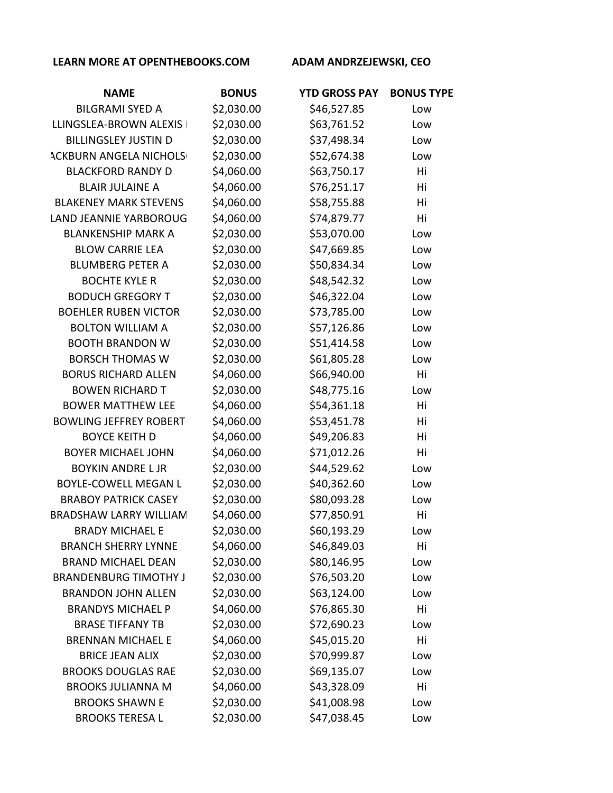| <b>NAME</b>                   | <b>BONUS</b> | <b>YTD GROSS PAY</b> | <b>BONUS TYPE</b> |
|-------------------------------|--------------|----------------------|-------------------|
| <b>BILGRAMI SYED A</b>        | \$2,030.00   | \$46,527.85          | Low               |
| LLINGSLEA-BROWN ALEXIS        | \$2,030.00   | \$63,761.52          | Low               |
| <b>BILLINGSLEY JUSTIN D</b>   | \$2,030.00   | \$37,498.34          | Low               |
| <b>ACKBURN ANGELA NICHOLS</b> | \$2,030.00   | \$52,674.38          | Low               |
| <b>BLACKFORD RANDY D</b>      | \$4,060.00   | \$63,750.17          | Hi                |
| <b>BLAIR JULAINE A</b>        | \$4,060.00   | \$76,251.17          | Hi                |
| <b>BLAKENEY MARK STEVENS</b>  | \$4,060.00   | \$58,755.88          | Hi                |
| <b>LAND JEANNIE YARBOROUG</b> | \$4,060.00   | \$74,879.77          | Hi                |
| <b>BLANKENSHIP MARK A</b>     | \$2,030.00   | \$53,070.00          | Low               |
| <b>BLOW CARRIE LEA</b>        | \$2,030.00   | \$47,669.85          | Low               |
| <b>BLUMBERG PETER A</b>       | \$2,030.00   | \$50,834.34          | Low               |
| <b>BOCHTE KYLE R</b>          | \$2,030.00   | \$48,542.32          | Low               |
| <b>BODUCH GREGORY T</b>       | \$2,030.00   | \$46,322.04          | Low               |
| <b>BOEHLER RUBEN VICTOR</b>   | \$2,030.00   | \$73,785.00          | Low               |
| <b>BOLTON WILLIAM A</b>       | \$2,030.00   | \$57,126.86          | Low               |
| <b>BOOTH BRANDON W</b>        | \$2,030.00   | \$51,414.58          | Low               |
| <b>BORSCH THOMAS W</b>        | \$2,030.00   | \$61,805.28          | Low               |
| <b>BORUS RICHARD ALLEN</b>    | \$4,060.00   | \$66,940.00          | Hi                |
| <b>BOWEN RICHARD T</b>        | \$2,030.00   | \$48,775.16          | Low               |
| <b>BOWER MATTHEW LEE</b>      | \$4,060.00   | \$54,361.18          | Hi                |
| <b>BOWLING JEFFREY ROBERT</b> | \$4,060.00   | \$53,451.78          | Hi                |
| <b>BOYCE KEITH D</b>          | \$4,060.00   | \$49,206.83          | Hi                |
| <b>BOYER MICHAEL JOHN</b>     | \$4,060.00   | \$71,012.26          | Hi                |
| <b>BOYKIN ANDRE L JR</b>      | \$2,030.00   | \$44,529.62          | Low               |
| BOYLE-COWELL MEGAN L          | \$2,030.00   | \$40,362.60          | Low               |
| <b>BRABOY PATRICK CASEY</b>   | \$2,030.00   | \$80,093.28          | Low               |
| <b>BRADSHAW LARRY WILLIAN</b> | \$4,060.00   | \$77,850.91          | Hi                |
| <b>BRADY MICHAEL E</b>        | \$2,030.00   | \$60,193.29          | Low               |
| <b>BRANCH SHERRY LYNNE</b>    | \$4,060.00   | \$46,849.03          | Hi                |
| <b>BRAND MICHAEL DEAN</b>     | \$2,030.00   | \$80,146.95          | Low               |
| <b>BRANDENBURG TIMOTHY J</b>  | \$2,030.00   | \$76,503.20          | Low               |
| <b>BRANDON JOHN ALLEN</b>     | \$2,030.00   | \$63,124.00          | Low               |
| <b>BRANDYS MICHAEL P</b>      | \$4,060.00   | \$76,865.30          | Hi                |
| <b>BRASE TIFFANY TB</b>       | \$2,030.00   | \$72,690.23          | Low               |
| <b>BRENNAN MICHAEL E</b>      | \$4,060.00   | \$45,015.20          | Hi                |
| <b>BRICE JEAN ALIX</b>        | \$2,030.00   | \$70,999.87          | Low               |
| <b>BROOKS DOUGLAS RAE</b>     | \$2,030.00   | \$69,135.07          | Low               |
| <b>BROOKS JULIANNA M</b>      | \$4,060.00   | \$43,328.09          | Hi                |
| <b>BROOKS SHAWN E</b>         | \$2,030.00   | \$41,008.98          | Low               |
| <b>BROOKS TERESA L</b>        | \$2,030.00   | \$47,038.45          | Low               |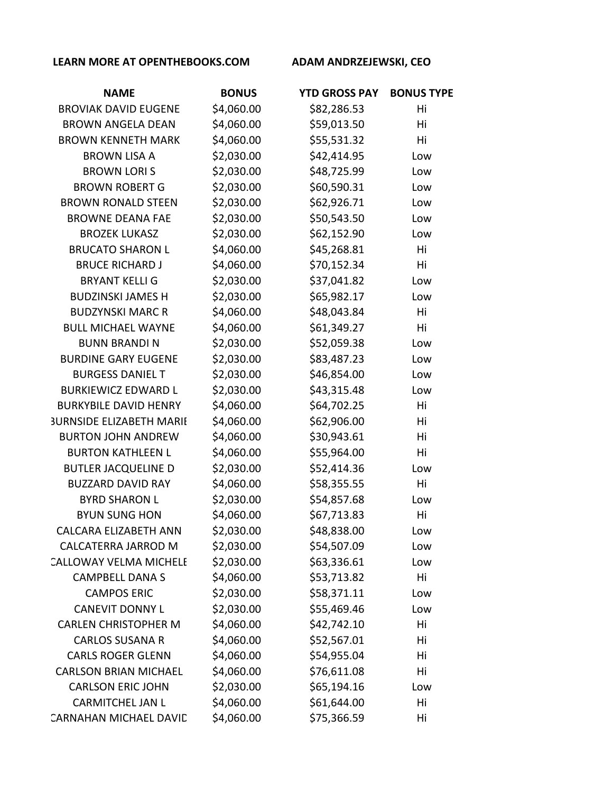| <b>NAME</b>                     | <b>BONUS</b> | <b>YTD GROSS PAY</b> | <b>BONUS TYPE</b> |
|---------------------------------|--------------|----------------------|-------------------|
| <b>BROVIAK DAVID EUGENE</b>     | \$4,060.00   | \$82,286.53          | Hi                |
| <b>BROWN ANGELA DEAN</b>        | \$4,060.00   | \$59,013.50          | Hi                |
| <b>BROWN KENNETH MARK</b>       | \$4,060.00   | \$55,531.32          | Hi                |
| <b>BROWN LISA A</b>             | \$2,030.00   | \$42,414.95          | Low               |
| <b>BROWN LORIS</b>              | \$2,030.00   | \$48,725.99          | Low               |
| <b>BROWN ROBERT G</b>           | \$2,030.00   | \$60,590.31          | Low               |
| <b>BROWN RONALD STEEN</b>       | \$2,030.00   | \$62,926.71          | Low               |
| <b>BROWNE DEANA FAE</b>         | \$2,030.00   | \$50,543.50          | Low               |
| <b>BROZEK LUKASZ</b>            | \$2,030.00   | \$62,152.90          | Low               |
| <b>BRUCATO SHARON L</b>         | \$4,060.00   | \$45,268.81          | Hi                |
| <b>BRUCE RICHARD J</b>          | \$4,060.00   | \$70,152.34          | Hi                |
| <b>BRYANT KELLI G</b>           | \$2,030.00   | \$37,041.82          | Low               |
| <b>BUDZINSKI JAMES H</b>        | \$2,030.00   | \$65,982.17          | Low               |
| <b>BUDZYNSKI MARC R</b>         | \$4,060.00   | \$48,043.84          | Hi                |
| <b>BULL MICHAEL WAYNE</b>       | \$4,060.00   | \$61,349.27          | Hi                |
| <b>BUNN BRANDIN</b>             | \$2,030.00   | \$52,059.38          | Low               |
| <b>BURDINE GARY EUGENE</b>      | \$2,030.00   | \$83,487.23          | Low               |
| <b>BURGESS DANIEL T</b>         | \$2,030.00   | \$46,854.00          | Low               |
| <b>BURKIEWICZ EDWARD L</b>      | \$2,030.00   | \$43,315.48          | Low               |
| <b>BURKYBILE DAVID HENRY</b>    | \$4,060.00   | \$64,702.25          | Hi                |
| <b>3URNSIDE ELIZABETH MARII</b> | \$4,060.00   | \$62,906.00          | Hi                |
| <b>BURTON JOHN ANDREW</b>       | \$4,060.00   | \$30,943.61          | Hi                |
| <b>BURTON KATHLEEN L</b>        | \$4,060.00   | \$55,964.00          | Hi                |
| <b>BUTLER JACQUELINE D</b>      | \$2,030.00   | \$52,414.36          | Low               |
| <b>BUZZARD DAVID RAY</b>        | \$4,060.00   | \$58,355.55          | Hi                |
| <b>BYRD SHARON L</b>            | \$2,030.00   | \$54,857.68          | Low               |
| <b>BYUN SUNG HON</b>            | \$4,060.00   | \$67,713.83          | Hi                |
| <b>CALCARA ELIZABETH ANN</b>    | \$2,030.00   | \$48,838.00          | Low               |
| <b>CALCATERRA JARROD M</b>      | \$2,030.00   | \$54,507.09          | Low               |
| <b>CALLOWAY VELMA MICHELE</b>   | \$2,030.00   | \$63,336.61          | Low               |
| <b>CAMPBELL DANA S</b>          | \$4,060.00   | \$53,713.82          | Hi                |
| <b>CAMPOS ERIC</b>              | \$2,030.00   | \$58,371.11          | Low               |
| <b>CANEVIT DONNY L</b>          | \$2,030.00   | \$55,469.46          | Low               |
| <b>CARLEN CHRISTOPHER M</b>     | \$4,060.00   | \$42,742.10          | Hi                |
| <b>CARLOS SUSANA R</b>          | \$4,060.00   | \$52,567.01          | Hi                |
| <b>CARLS ROGER GLENN</b>        | \$4,060.00   | \$54,955.04          | Hi                |
| <b>CARLSON BRIAN MICHAEL</b>    | \$4,060.00   | \$76,611.08          | Hi                |
| <b>CARLSON ERIC JOHN</b>        | \$2,030.00   | \$65,194.16          | Low               |
| <b>CARMITCHEL JAN L</b>         | \$4,060.00   | \$61,644.00          | Hi                |
| CARNAHAN MICHAEL DAVID          | \$4,060.00   | \$75,366.59          | Hi                |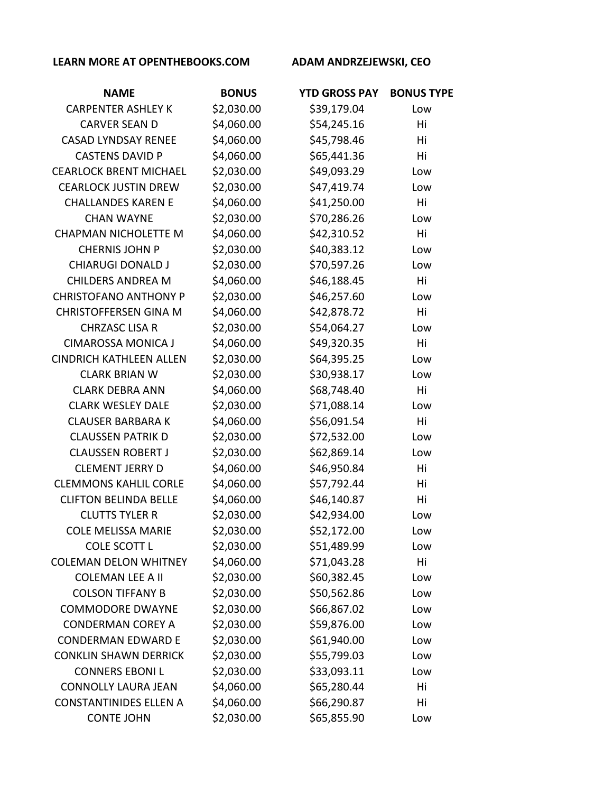| <b>NAME</b>                    | <b>BONUS</b> | <b>YTD GROSS PAY</b> | <b>BONUS TYPE</b> |
|--------------------------------|--------------|----------------------|-------------------|
| <b>CARPENTER ASHLEY K</b>      | \$2,030.00   | \$39,179.04          | Low               |
| <b>CARVER SEAN D</b>           | \$4,060.00   | \$54,245.16          | Hi                |
| <b>CASAD LYNDSAY RENEE</b>     | \$4,060.00   | \$45,798.46          | Hi                |
| <b>CASTENS DAVID P</b>         | \$4,060.00   | \$65,441.36          | Hi                |
| <b>CEARLOCK BRENT MICHAEL</b>  | \$2,030.00   | \$49,093.29          | Low               |
| <b>CEARLOCK JUSTIN DREW</b>    | \$2,030.00   | \$47,419.74          | Low               |
| <b>CHALLANDES KAREN E</b>      | \$4,060.00   | \$41,250.00          | Hi                |
| <b>CHAN WAYNE</b>              | \$2,030.00   | \$70,286.26          | Low               |
| <b>CHAPMAN NICHOLETTE M</b>    | \$4,060.00   | \$42,310.52          | Hi                |
| <b>CHERNIS JOHN P</b>          | \$2,030.00   | \$40,383.12          | Low               |
| <b>CHIARUGI DONALD J</b>       | \$2,030.00   | \$70,597.26          | Low               |
| <b>CHILDERS ANDREA M</b>       | \$4,060.00   | \$46,188.45          | Hi                |
| <b>CHRISTOFANO ANTHONY P</b>   | \$2,030.00   | \$46,257.60          | Low               |
| <b>CHRISTOFFERSEN GINA M</b>   | \$4,060.00   | \$42,878.72          | Hi                |
| <b>CHRZASC LISA R</b>          | \$2,030.00   | \$54,064.27          | Low               |
| <b>CIMAROSSA MONICA J</b>      | \$4,060.00   | \$49,320.35          | Hi                |
| <b>CINDRICH KATHLEEN ALLEN</b> | \$2,030.00   | \$64,395.25          | Low               |
| <b>CLARK BRIAN W</b>           | \$2,030.00   | \$30,938.17          | Low               |
| <b>CLARK DEBRA ANN</b>         | \$4,060.00   | \$68,748.40          | Hi                |
| <b>CLARK WESLEY DALE</b>       | \$2,030.00   | \$71,088.14          | Low               |
| <b>CLAUSER BARBARA K</b>       | \$4,060.00   | \$56,091.54          | Hi                |
| <b>CLAUSSEN PATRIK D</b>       | \$2,030.00   | \$72,532.00          | Low               |
| <b>CLAUSSEN ROBERT J</b>       | \$2,030.00   | \$62,869.14          | Low               |
| <b>CLEMENT JERRY D</b>         | \$4,060.00   | \$46,950.84          | Hi                |
| <b>CLEMMONS KAHLIL CORLE</b>   | \$4,060.00   | \$57,792.44          | Hi                |
| <b>CLIFTON BELINDA BELLE</b>   | \$4,060.00   | \$46,140.87          | Hi                |
| <b>CLUTTS TYLER R</b>          | \$2,030.00   | \$42,934.00          | Low               |
| <b>COLE MELISSA MARIE</b>      | \$2,030.00   | \$52,172.00          | Low               |
| <b>COLE SCOTT L</b>            | \$2,030.00   | \$51,489.99          | Low               |
| <b>COLEMAN DELON WHITNEY</b>   | \$4,060.00   | \$71,043.28          | Hi                |
| <b>COLEMAN LEE A II</b>        | \$2,030.00   | \$60,382.45          | Low               |
| <b>COLSON TIFFANY B</b>        | \$2,030.00   | \$50,562.86          | Low               |
| <b>COMMODORE DWAYNE</b>        | \$2,030.00   | \$66,867.02          | Low               |
| <b>CONDERMAN COREY A</b>       | \$2,030.00   | \$59,876.00          | Low               |
| <b>CONDERMAN EDWARD E</b>      | \$2,030.00   | \$61,940.00          | Low               |
| <b>CONKLIN SHAWN DERRICK</b>   | \$2,030.00   | \$55,799.03          | Low               |
| <b>CONNERS EBONI L</b>         | \$2,030.00   | \$33,093.11          | Low               |
| <b>CONNOLLY LAURA JEAN</b>     | \$4,060.00   | \$65,280.44          | Hi                |
| <b>CONSTANTINIDES ELLEN A</b>  | \$4,060.00   | \$66,290.87          | Hi                |
| <b>CONTE JOHN</b>              | \$2,030.00   | \$65,855.90          | Low               |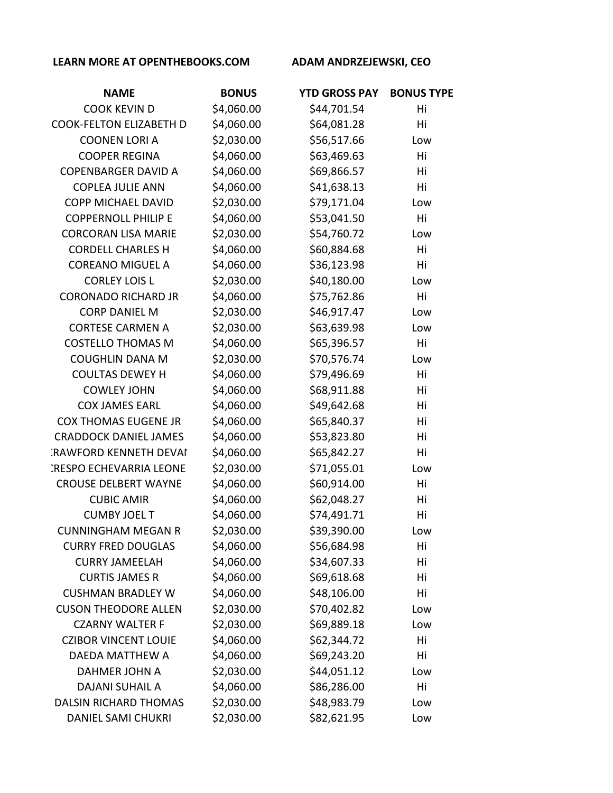| <b>NAME</b>                    | <b>BONUS</b> | <b>YTD GROSS PAY</b> | <b>BONUS TYPE</b> |
|--------------------------------|--------------|----------------------|-------------------|
| <b>COOK KEVIN D</b>            | \$4,060.00   | \$44,701.54          | Hi                |
| <b>COOK-FELTON ELIZABETH D</b> | \$4,060.00   | \$64,081.28          | Hi                |
| <b>COONEN LORI A</b>           | \$2,030.00   | \$56,517.66          | Low               |
| <b>COOPER REGINA</b>           | \$4,060.00   | \$63,469.63          | Hi                |
| <b>COPENBARGER DAVID A</b>     | \$4,060.00   | \$69,866.57          | Hi                |
| <b>COPLEA JULIE ANN</b>        | \$4,060.00   | \$41,638.13          | Hi                |
| <b>COPP MICHAEL DAVID</b>      | \$2,030.00   | \$79,171.04          | Low               |
| <b>COPPERNOLL PHILIP E</b>     | \$4,060.00   | \$53,041.50          | Hi                |
| <b>CORCORAN LISA MARIE</b>     | \$2,030.00   | \$54,760.72          | Low               |
| <b>CORDELL CHARLES H</b>       | \$4,060.00   | \$60,884.68          | Hi                |
| <b>COREANO MIGUEL A</b>        | \$4,060.00   | \$36,123.98          | Hi                |
| <b>CORLEY LOIS L</b>           | \$2,030.00   | \$40,180.00          | Low               |
| <b>CORONADO RICHARD JR</b>     | \$4,060.00   | \$75,762.86          | Hi                |
| <b>CORP DANIEL M</b>           | \$2,030.00   | \$46,917.47          | Low               |
| <b>CORTESE CARMEN A</b>        | \$2,030.00   | \$63,639.98          | Low               |
| <b>COSTELLO THOMAS M</b>       | \$4,060.00   | \$65,396.57          | Hi                |
| <b>COUGHLIN DANA M</b>         | \$2,030.00   | \$70,576.74          | Low               |
| <b>COULTAS DEWEY H</b>         | \$4,060.00   | \$79,496.69          | Hi                |
| <b>COWLEY JOHN</b>             | \$4,060.00   | \$68,911.88          | Hi                |
| <b>COX JAMES EARL</b>          | \$4,060.00   | \$49,642.68          | Hi                |
| <b>COX THOMAS EUGENE JR</b>    | \$4,060.00   | \$65,840.37          | Hi                |
| <b>CRADDOCK DANIEL JAMES</b>   | \$4,060.00   | \$53,823.80          | Hi                |
| <b>RAWFORD KENNETH DEVAI</b>   | \$4,060.00   | \$65,842.27          | Hi                |
| <b>CRESPO ECHEVARRIA LEONE</b> | \$2,030.00   | \$71,055.01          | Low               |
| <b>CROUSE DELBERT WAYNE</b>    | \$4,060.00   | \$60,914.00          | Hi                |
| <b>CUBIC AMIR</b>              | \$4,060.00   | \$62,048.27          | Hi                |
| <b>CUMBY JOEL T</b>            | \$4,060.00   | \$74,491.71          | Hi                |
| <b>CUNNINGHAM MEGAN R</b>      | \$2,030.00   | \$39,390.00          | Low               |
| <b>CURRY FRED DOUGLAS</b>      | \$4,060.00   | \$56,684.98          | Hi                |
| <b>CURRY JAMEELAH</b>          | \$4,060.00   | \$34,607.33          | Hi                |
| <b>CURTIS JAMES R</b>          | \$4,060.00   | \$69,618.68          | Hi                |
| <b>CUSHMAN BRADLEY W</b>       | \$4,060.00   | \$48,106.00          | Hi                |
| <b>CUSON THEODORE ALLEN</b>    | \$2,030.00   | \$70,402.82          | Low               |
| <b>CZARNY WALTER F</b>         | \$2,030.00   | \$69,889.18          | Low               |
| <b>CZIBOR VINCENT LOUIE</b>    | \$4,060.00   | \$62,344.72          | Hi                |
| DAEDA MATTHEW A                | \$4,060.00   | \$69,243.20          | Hi                |
| DAHMER JOHN A                  | \$2,030.00   | \$44,051.12          | Low               |
| <b>DAJANI SUHAIL A</b>         | \$4,060.00   | \$86,286.00          | Hi                |
| <b>DALSIN RICHARD THOMAS</b>   | \$2,030.00   | \$48,983.79          | Low               |
| <b>DANIEL SAMI CHUKRI</b>      | \$2,030.00   | \$82,621.95          | Low               |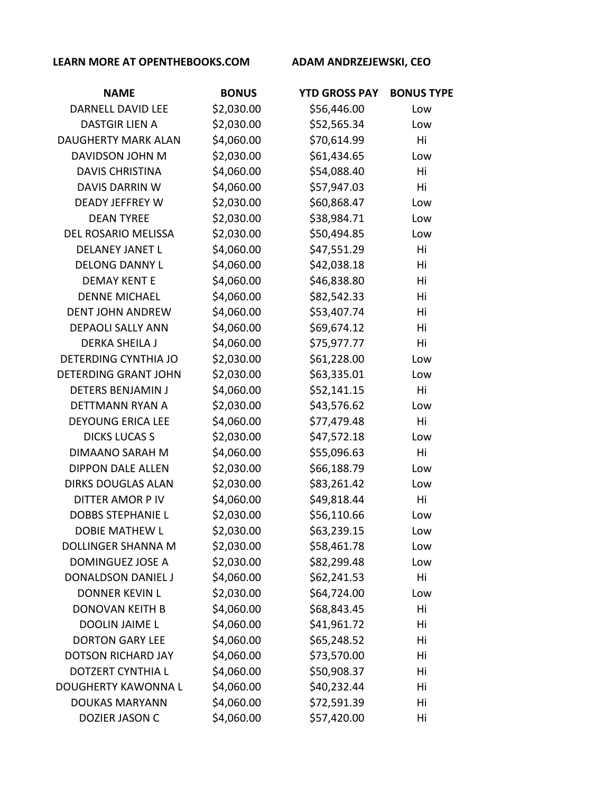| <b>NAME</b>                 | <b>BONUS</b> | <b>YTD GROSS PAY</b> | <b>BONUS TYPE</b> |
|-----------------------------|--------------|----------------------|-------------------|
| <b>DARNELL DAVID LEE</b>    | \$2,030.00   | \$56,446.00          | Low               |
| <b>DASTGIR LIEN A</b>       | \$2,030.00   | \$52,565.34          | Low               |
| <b>DAUGHERTY MARK ALAN</b>  | \$4,060.00   | \$70,614.99          | Hi                |
| DAVIDSON JOHN M             | \$2,030.00   | \$61,434.65          | Low               |
| <b>DAVIS CHRISTINA</b>      | \$4,060.00   | \$54,088.40          | Hi                |
| <b>DAVIS DARRIN W</b>       | \$4,060.00   | \$57,947.03          | Hi                |
| <b>DEADY JEFFREY W</b>      | \$2,030.00   | \$60,868.47          | Low               |
| <b>DEAN TYREE</b>           | \$2,030.00   | \$38,984.71          | Low               |
| DEL ROSARIO MELISSA         | \$2,030.00   | \$50,494.85          | Low               |
| <b>DELANEY JANET L</b>      | \$4,060.00   | \$47,551.29          | Hi                |
| <b>DELONG DANNY L</b>       | \$4,060.00   | \$42,038.18          | Hi                |
| <b>DEMAY KENT E</b>         | \$4,060.00   | \$46,838.80          | Hi                |
| <b>DENNE MICHAEL</b>        | \$4,060.00   | \$82,542.33          | Hi                |
| <b>DENT JOHN ANDREW</b>     | \$4,060.00   | \$53,407.74          | Hi                |
| <b>DEPAOLI SALLY ANN</b>    | \$4,060.00   | \$69,674.12          | Hi                |
| <b>DERKA SHEILA J</b>       | \$4,060.00   | \$75,977.77          | Hi                |
| <b>DETERDING CYNTHIA JO</b> | \$2,030.00   | \$61,228.00          | Low               |
| <b>DETERDING GRANT JOHN</b> | \$2,030.00   | \$63,335.01          | Low               |
| <b>DETERS BENJAMIN J</b>    | \$4,060.00   | \$52,141.15          | Hi                |
| DETTMANN RYAN A             | \$2,030.00   | \$43,576.62          | Low               |
| <b>DEYOUNG ERICA LEE</b>    | \$4,060.00   | \$77,479.48          | Hi                |
| <b>DICKS LUCAS S</b>        | \$2,030.00   | \$47,572.18          | Low               |
| <b>DIMAANO SARAH M</b>      | \$4,060.00   | \$55,096.63          | Hi                |
| <b>DIPPON DALE ALLEN</b>    | \$2,030.00   | \$66,188.79          | Low               |
| <b>DIRKS DOUGLAS ALAN</b>   | \$2,030.00   | \$83,261.42          | Low               |
| <b>DITTER AMOR P IV</b>     | \$4,060.00   | \$49,818.44          | Hi                |
| <b>DOBBS STEPHANIE L</b>    | \$2,030.00   | \$56,110.66          | Low               |
| DOBIE MATHEW L              | \$2,030.00   | \$63,239.15          | Low               |
| <b>DOLLINGER SHANNA M</b>   | \$2,030.00   | \$58,461.78          | Low               |
| DOMINGUEZ JOSE A            | \$2,030.00   | \$82,299.48          | Low               |
| DONALDSON DANIEL J          | \$4,060.00   | \$62,241.53          | Hi                |
| <b>DONNER KEVIN L</b>       | \$2,030.00   | \$64,724.00          | Low               |
| <b>DONOVAN KEITH B</b>      | \$4,060.00   | \$68,843.45          | Hi                |
| <b>DOOLIN JAIME L</b>       | \$4,060.00   | \$41,961.72          | Hi                |
| <b>DORTON GARY LEE</b>      | \$4,060.00   | \$65,248.52          | Hi                |
| <b>DOTSON RICHARD JAY</b>   | \$4,060.00   | \$73,570.00          | Hi                |
| <b>DOTZERT CYNTHIA L</b>    | \$4,060.00   | \$50,908.37          | Hi                |
| <b>DOUGHERTY KAWONNA L</b>  | \$4,060.00   | \$40,232.44          | Hi                |
| <b>DOUKAS MARYANN</b>       | \$4,060.00   | \$72,591.39          | Hi                |
| DOZIER JASON C              | \$4,060.00   | \$57,420.00          | Hi                |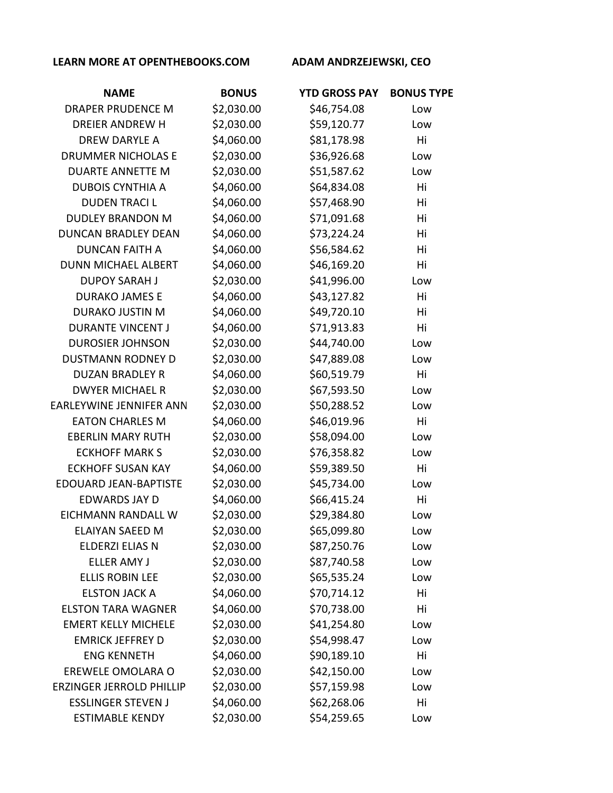| <b>NAME</b>                     | <b>BONUS</b> | <b>YTD GROSS PAY</b> | <b>BONUS TYPE</b> |
|---------------------------------|--------------|----------------------|-------------------|
| <b>DRAPER PRUDENCE M</b>        | \$2,030.00   | \$46,754.08          | Low               |
| <b>DREIER ANDREW H</b>          | \$2,030.00   | \$59,120.77          | Low               |
| <b>DREW DARYLE A</b>            | \$4,060.00   | \$81,178.98          | Hi                |
| <b>DRUMMER NICHOLAS E</b>       | \$2,030.00   | \$36,926.68          | Low               |
| <b>DUARTE ANNETTE M</b>         | \$2,030.00   | \$51,587.62          | Low               |
| <b>DUBOIS CYNTHIA A</b>         | \$4,060.00   | \$64,834.08          | Hi                |
| <b>DUDEN TRACIL</b>             | \$4,060.00   | \$57,468.90          | Hi                |
| <b>DUDLEY BRANDON M</b>         | \$4,060.00   | \$71,091.68          | Hi                |
| <b>DUNCAN BRADLEY DEAN</b>      | \$4,060.00   | \$73,224.24          | Hi                |
| <b>DUNCAN FAITH A</b>           | \$4,060.00   | \$56,584.62          | Hi                |
| <b>DUNN MICHAEL ALBERT</b>      | \$4,060.00   | \$46,169.20          | Hi                |
| <b>DUPOY SARAH J</b>            | \$2,030.00   | \$41,996.00          | Low               |
| <b>DURAKO JAMES E</b>           | \$4,060.00   | \$43,127.82          | Hi                |
| <b>DURAKO JUSTIN M</b>          | \$4,060.00   | \$49,720.10          | Hi                |
| <b>DURANTE VINCENT J</b>        | \$4,060.00   | \$71,913.83          | Hi                |
| <b>DUROSIER JOHNSON</b>         | \$2,030.00   | \$44,740.00          | Low               |
| <b>DUSTMANN RODNEY D</b>        | \$2,030.00   | \$47,889.08          | Low               |
| <b>DUZAN BRADLEY R</b>          | \$4,060.00   | \$60,519.79          | Hi                |
| <b>DWYER MICHAEL R</b>          | \$2,030.00   | \$67,593.50          | Low               |
| EARLEYWINE JENNIFER ANN         | \$2,030.00   | \$50,288.52          | Low               |
| <b>EATON CHARLES M</b>          | \$4,060.00   | \$46,019.96          | Hi                |
| <b>EBERLIN MARY RUTH</b>        | \$2,030.00   | \$58,094.00          | Low               |
| <b>ECKHOFF MARK S</b>           | \$2,030.00   | \$76,358.82          | Low               |
| <b>ECKHOFF SUSAN KAY</b>        | \$4,060.00   | \$59,389.50          | Hi                |
| <b>EDOUARD JEAN-BAPTISTE</b>    | \$2,030.00   | \$45,734.00          | Low               |
| <b>EDWARDS JAY D</b>            | \$4,060.00   | \$66,415.24          | Hi                |
| <b>EICHMANN RANDALL W</b>       | \$2,030.00   | \$29,384.80          | Low               |
| <b>ELAIYAN SAEED M</b>          | \$2,030.00   | \$65,099.80          | Low               |
| ELDERZI ELIAS N                 | \$2,030.00   | \$87,250.76          | Low               |
| <b>ELLER AMY J</b>              | \$2,030.00   | \$87,740.58          | Low               |
| <b>ELLIS ROBIN LEE</b>          | \$2,030.00   | \$65,535.24          | Low               |
| <b>ELSTON JACK A</b>            | \$4,060.00   | \$70,714.12          | Hi                |
| <b>ELSTON TARA WAGNER</b>       | \$4,060.00   | \$70,738.00          | Hi                |
| <b>EMERT KELLY MICHELE</b>      | \$2,030.00   | \$41,254.80          | Low               |
| <b>EMRICK JEFFREY D</b>         | \$2,030.00   | \$54,998.47          | Low               |
| <b>ENG KENNETH</b>              | \$4,060.00   | \$90,189.10          | Hi                |
| EREWELE OMOLARA O               | \$2,030.00   | \$42,150.00          | Low               |
| <b>ERZINGER JERROLD PHILLIP</b> | \$2,030.00   | \$57,159.98          | Low               |
| <b>ESSLINGER STEVEN J</b>       | \$4,060.00   | \$62,268.06          | Hi                |
| <b>ESTIMABLE KENDY</b>          | \$2,030.00   | \$54,259.65          | Low               |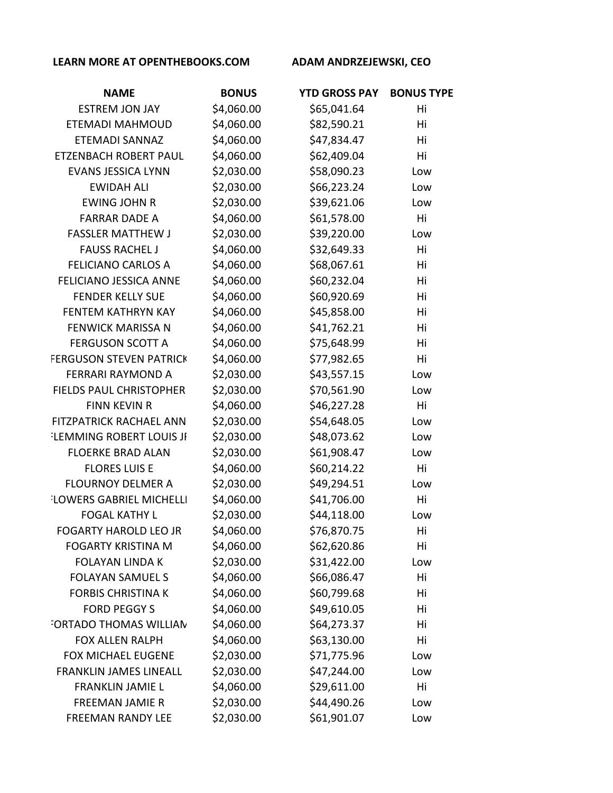| <b>NAME</b>                     | <b>BONUS</b> | <b>YTD GROSS PAY</b> | <b>BONUS TYPE</b> |
|---------------------------------|--------------|----------------------|-------------------|
| <b>ESTREM JON JAY</b>           | \$4,060.00   | \$65,041.64          | Hi                |
| ETEMADI MAHMOUD                 | \$4,060.00   | \$82,590.21          | Hi                |
| <b>ETEMADI SANNAZ</b>           | \$4,060.00   | \$47,834.47          | Hi                |
| ETZENBACH ROBERT PAUL           | \$4,060.00   | \$62,409.04          | Hi                |
| <b>EVANS JESSICA LYNN</b>       | \$2,030.00   | \$58,090.23          | Low               |
| <b>EWIDAH ALI</b>               | \$2,030.00   | \$66,223.24          | Low               |
| <b>EWING JOHN R</b>             | \$2,030.00   | \$39,621.06          | Low               |
| <b>FARRAR DADE A</b>            | \$4,060.00   | \$61,578.00          | Hi                |
| <b>FASSLER MATTHEW J</b>        | \$2,030.00   | \$39,220.00          | Low               |
| <b>FAUSS RACHEL J</b>           | \$4,060.00   | \$32,649.33          | Hi                |
| <b>FELICIANO CARLOS A</b>       | \$4,060.00   | \$68,067.61          | Hi                |
| <b>FELICIANO JESSICA ANNE</b>   | \$4,060.00   | \$60,232.04          | Hi                |
| <b>FENDER KELLY SUE</b>         | \$4,060.00   | \$60,920.69          | Hi                |
| FENTEM KATHRYN KAY              | \$4,060.00   | \$45,858.00          | Hi                |
| <b>FENWICK MARISSA N</b>        | \$4,060.00   | \$41,762.21          | Hi                |
| <b>FERGUSON SCOTT A</b>         | \$4,060.00   | \$75,648.99          | Hi                |
| <b>FERGUSON STEVEN PATRICK</b>  | \$4,060.00   | \$77,982.65          | Hi                |
| <b>FERRARI RAYMOND A</b>        | \$2,030.00   | \$43,557.15          | Low               |
| FIELDS PAUL CHRISTOPHER         | \$2,030.00   | \$70,561.90          | Low               |
| <b>FINN KEVIN R</b>             | \$4,060.00   | \$46,227.28          | Hi                |
| FITZPATRICK RACHAEL ANN         | \$2,030.00   | \$54,648.05          | Low               |
| <b>ELEMMING ROBERT LOUIS JI</b> | \$2,030.00   | \$48,073.62          | Low               |
| <b>FLOERKE BRAD ALAN</b>        | \$2,030.00   | \$61,908.47          | Low               |
| <b>FLORES LUIS E</b>            | \$4,060.00   | \$60,214.22          | Hi                |
| <b>FLOURNOY DELMER A</b>        | \$2,030.00   | \$49,294.51          | Low               |
| <b>LOWERS GABRIEL MICHELLI</b>  | \$4,060.00   | \$41,706.00          | Hi                |
| <b>FOGAL KATHY L</b>            | \$2,030.00   | \$44,118.00          | Low               |
| <b>FOGARTY HAROLD LEO JR</b>    | \$4,060.00   | \$76,870.75          | Hi                |
| <b>FOGARTY KRISTINA M</b>       | \$4,060.00   | \$62,620.86          | Hi                |
| <b>FOLAYAN LINDA K</b>          | \$2,030.00   | \$31,422.00          | Low               |
| <b>FOLAYAN SAMUEL S</b>         | \$4,060.00   | \$66,086.47          | Hi                |
| <b>FORBIS CHRISTINA K</b>       | \$4,060.00   | \$60,799.68          | Hi                |
| <b>FORD PEGGY S</b>             | \$4,060.00   | \$49,610.05          | Hi                |
| FORTADO THOMAS WILLIAN          | \$4,060.00   | \$64,273.37          | Hi                |
| <b>FOX ALLEN RALPH</b>          | \$4,060.00   | \$63,130.00          | Hi                |
| <b>FOX MICHAEL EUGENE</b>       | \$2,030.00   | \$71,775.96          | Low               |
| <b>FRANKLIN JAMES LINEALL</b>   | \$2,030.00   | \$47,244.00          | Low               |
| <b>FRANKLIN JAMIE L</b>         | \$4,060.00   | \$29,611.00          | Hi                |
| FREEMAN JAMIE R                 | \$2,030.00   | \$44,490.26          | Low               |
| FREEMAN RANDY LEE               | \$2,030.00   | \$61,901.07          | Low               |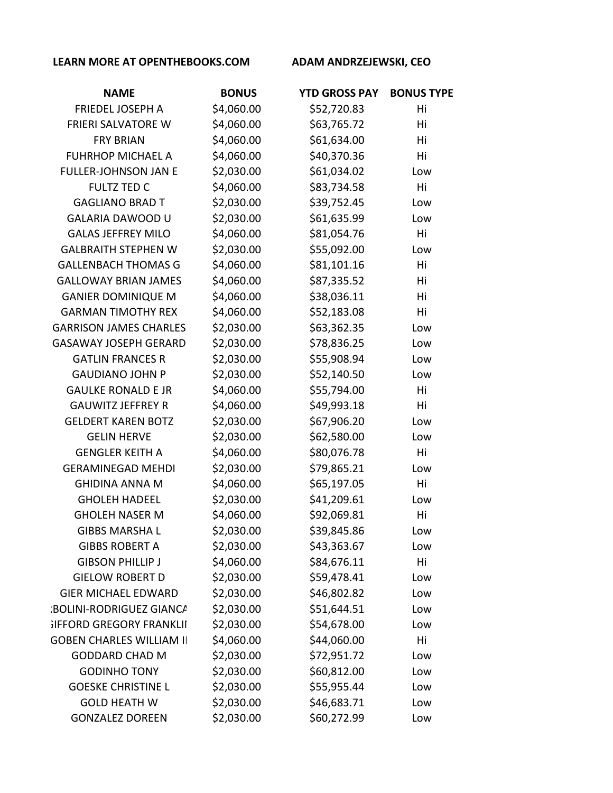| <b>NAME</b>                     | <b>BONUS</b> | <b>YTD GROSS PAY</b> | <b>BONUS TYPE</b> |
|---------------------------------|--------------|----------------------|-------------------|
| FRIEDEL JOSEPH A                | \$4,060.00   | \$52,720.83          | Hi                |
| <b>FRIERI SALVATORE W</b>       | \$4,060.00   | \$63,765.72          | Hi                |
| <b>FRY BRIAN</b>                | \$4,060.00   | \$61,634.00          | Hi                |
| <b>FUHRHOP MICHAEL A</b>        | \$4,060.00   | \$40,370.36          | Hi                |
| FULLER-JOHNSON JAN E            | \$2,030.00   | \$61,034.02          | Low               |
| <b>FULTZ TED C</b>              | \$4,060.00   | \$83,734.58          | Hi                |
| <b>GAGLIANO BRAD T</b>          | \$2,030.00   | \$39,752.45          | Low               |
| <b>GALARIA DAWOOD U</b>         | \$2,030.00   | \$61,635.99          | Low               |
| <b>GALAS JEFFREY MILO</b>       | \$4,060.00   | \$81,054.76          | Hi                |
| <b>GALBRAITH STEPHEN W</b>      | \$2,030.00   | \$55,092.00          | Low               |
| <b>GALLENBACH THOMAS G</b>      | \$4,060.00   | \$81,101.16          | Hi                |
| <b>GALLOWAY BRIAN JAMES</b>     | \$4,060.00   | \$87,335.52          | Hi                |
| <b>GANIER DOMINIQUE M</b>       | \$4,060.00   | \$38,036.11          | Hi                |
| <b>GARMAN TIMOTHY REX</b>       | \$4,060.00   | \$52,183.08          | Hi                |
| <b>GARRISON JAMES CHARLES</b>   | \$2,030.00   | \$63,362.35          | Low               |
| <b>GASAWAY JOSEPH GERARD</b>    | \$2,030.00   | \$78,836.25          | Low               |
| <b>GATLIN FRANCES R</b>         | \$2,030.00   | \$55,908.94          | Low               |
| <b>GAUDIANO JOHN P</b>          | \$2,030.00   | \$52,140.50          | Low               |
| <b>GAULKE RONALD E JR</b>       | \$4,060.00   | \$55,794.00          | Hi                |
| <b>GAUWITZ JEFFREY R</b>        | \$4,060.00   | \$49,993.18          | Hi                |
| <b>GELDERT KAREN BOTZ</b>       | \$2,030.00   | \$67,906.20          | Low               |
| <b>GELIN HERVE</b>              | \$2,030.00   | \$62,580.00          | Low               |
| <b>GENGLER KEITH A</b>          | \$4,060.00   | \$80,076.78          | Hi                |
| <b>GERAMINEGAD MEHDI</b>        | \$2,030.00   | \$79,865.21          | Low               |
| <b>GHIDINA ANNA M</b>           | \$4,060.00   | \$65,197.05          | Hi                |
| <b>GHOLEH HADEEL</b>            | \$2,030.00   | \$41,209.61          | Low               |
| <b>GHOLEH NASER M</b>           | \$4,060.00   | \$92,069.81          | Hi                |
| <b>GIBBS MARSHA L</b>           | \$2,030.00   | \$39,845.86          | Low               |
| <b>GIBBS ROBERT A</b>           | \$2,030.00   | \$43,363.67          | Low               |
| <b>GIBSON PHILLIP J</b>         | \$4,060.00   | \$84,676.11          | Hi                |
| <b>GIELOW ROBERT D</b>          | \$2,030.00   | \$59,478.41          | Low               |
| <b>GIER MICHAEL EDWARD</b>      | \$2,030.00   | \$46,802.82          | Low               |
| <b>:BOLINI-RODRIGUEZ GIANCA</b> | \$2,030.00   | \$51,644.51          | Low               |
| <b>IFFORD GREGORY FRANKLII</b>  | \$2,030.00   | \$54,678.00          | Low               |
| <b>GOBEN CHARLES WILLIAM II</b> | \$4,060.00   | \$44,060.00          | Hi                |
| <b>GODDARD CHAD M</b>           | \$2,030.00   | \$72,951.72          | Low               |
| <b>GODINHO TONY</b>             | \$2,030.00   | \$60,812.00          | Low               |
| <b>GOESKE CHRISTINE L</b>       | \$2,030.00   | \$55,955.44          | Low               |
| <b>GOLD HEATH W</b>             | \$2,030.00   | \$46,683.71          | Low               |
| <b>GONZALEZ DOREEN</b>          | \$2,030.00   | \$60,272.99          | Low               |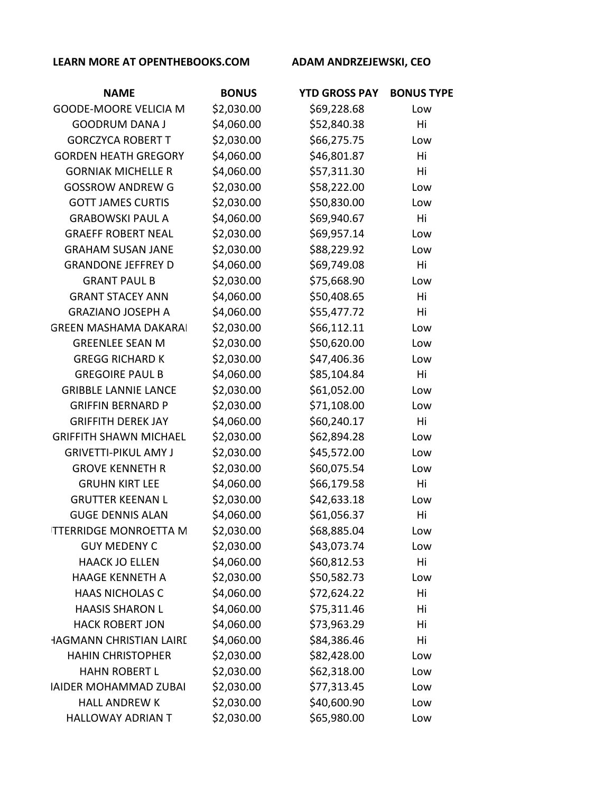| <b>NAME</b>                    | <b>BONUS</b> | <b>YTD GROSS PAY</b> | <b>BONUS TYPE</b> |
|--------------------------------|--------------|----------------------|-------------------|
| <b>GOODE-MOORE VELICIA M</b>   | \$2,030.00   | \$69,228.68          | Low               |
| <b>GOODRUM DANA J</b>          | \$4,060.00   | \$52,840.38          | Hi                |
| <b>GORCZYCA ROBERT T</b>       | \$2,030.00   | \$66,275.75          | Low               |
| <b>GORDEN HEATH GREGORY</b>    | \$4,060.00   | \$46,801.87          | Hi                |
| <b>GORNIAK MICHELLE R</b>      | \$4,060.00   | \$57,311.30          | Hi                |
| <b>GOSSROW ANDREW G</b>        | \$2,030.00   | \$58,222.00          | Low               |
| <b>GOTT JAMES CURTIS</b>       | \$2,030.00   | \$50,830.00          | Low               |
| <b>GRABOWSKI PAUL A</b>        | \$4,060.00   | \$69,940.67          | Hi                |
| <b>GRAEFF ROBERT NEAL</b>      | \$2,030.00   | \$69,957.14          | Low               |
| <b>GRAHAM SUSAN JANE</b>       | \$2,030.00   | \$88,229.92          | Low               |
| <b>GRANDONE JEFFREY D</b>      | \$4,060.00   | \$69,749.08          | Hi                |
| <b>GRANT PAUL B</b>            | \$2,030.00   | \$75,668.90          | Low               |
| <b>GRANT STACEY ANN</b>        | \$4,060.00   | \$50,408.65          | Hi                |
| <b>GRAZIANO JOSEPH A</b>       | \$4,060.00   | \$55,477.72          | Hi                |
| <b>GREEN MASHAMA DAKARAI</b>   | \$2,030.00   | \$66,112.11          | Low               |
| <b>GREENLEE SEAN M</b>         | \$2,030.00   | \$50,620.00          | Low               |
| <b>GREGG RICHARD K</b>         | \$2,030.00   | \$47,406.36          | Low               |
| <b>GREGOIRE PAUL B</b>         | \$4,060.00   | \$85,104.84          | Hi                |
| <b>GRIBBLE LANNIE LANCE</b>    | \$2,030.00   | \$61,052.00          | Low               |
| <b>GRIFFIN BERNARD P</b>       | \$2,030.00   | \$71,108.00          | Low               |
| <b>GRIFFITH DEREK JAY</b>      | \$4,060.00   | \$60,240.17          | Hi                |
| <b>GRIFFITH SHAWN MICHAEL</b>  | \$2,030.00   | \$62,894.28          | Low               |
| <b>GRIVETTI-PIKUL AMY J</b>    | \$2,030.00   | \$45,572.00          | Low               |
| <b>GROVE KENNETH R</b>         | \$2,030.00   | \$60,075.54          | Low               |
| <b>GRUHN KIRT LEE</b>          | \$4,060.00   | \$66,179.58          | Hi                |
| <b>GRUTTER KEENAN L</b>        | \$2,030.00   | \$42,633.18          | Low               |
| <b>GUGE DENNIS ALAN</b>        | \$4,060.00   | \$61,056.37          | Hi                |
| <b>ITTERRIDGE MONROETTA M</b>  | \$2,030.00   | \$68,885.04          | Low               |
| <b>GUY MEDENY C</b>            | \$2,030.00   | \$43,073.74          | Low               |
| <b>HAACK JO ELLEN</b>          | \$4,060.00   | \$60,812.53          | Hi                |
| <b>HAAGE KENNETH A</b>         | \$2,030.00   | \$50,582.73          | Low               |
| <b>HAAS NICHOLAS C</b>         | \$4,060.00   | \$72,624.22          | Hi                |
| <b>HAASIS SHARON L</b>         | \$4,060.00   | \$75,311.46          | Hi                |
| <b>HACK ROBERT JON</b>         | \$4,060.00   | \$73,963.29          | Hi                |
| <b>HAGMANN CHRISTIAN LAIRI</b> | \$4,060.00   | \$84,386.46          | Hi                |
| <b>HAHIN CHRISTOPHER</b>       | \$2,030.00   | \$82,428.00          | Low               |
| <b>HAHN ROBERT L</b>           | \$2,030.00   | \$62,318.00          | Low               |
| <b>IAIDER MOHAMMAD ZUBAI</b>   | \$2,030.00   | \$77,313.45          | Low               |
| <b>HALL ANDREW K</b>           | \$2,030.00   | \$40,600.90          | Low               |
| <b>HALLOWAY ADRIAN T</b>       | \$2,030.00   | \$65,980.00          | Low               |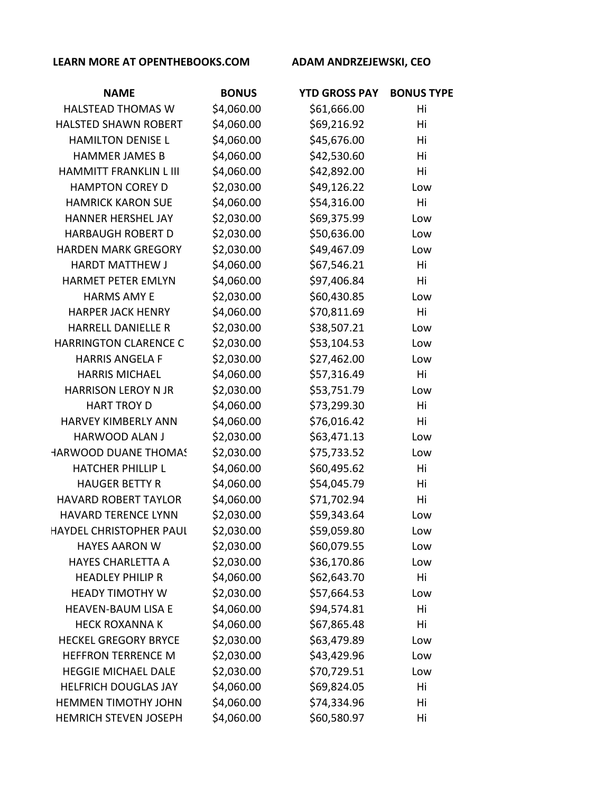| <b>NAME</b>                   | <b>BONUS</b> | <b>YTD GROSS PAY</b> | <b>BONUS TYPE</b> |
|-------------------------------|--------------|----------------------|-------------------|
| <b>HALSTEAD THOMAS W</b>      | \$4,060.00   | \$61,666.00          | Hi                |
| <b>HALSTED SHAWN ROBERT</b>   | \$4,060.00   | \$69,216.92          | Hi                |
| <b>HAMILTON DENISE L</b>      | \$4,060.00   | \$45,676.00          | Hi                |
| <b>HAMMER JAMES B</b>         | \$4,060.00   | \$42,530.60          | Hi                |
| <b>HAMMITT FRANKLIN L III</b> | \$4,060.00   | \$42,892.00          | Hi                |
| <b>HAMPTON COREY D</b>        | \$2,030.00   | \$49,126.22          | Low               |
| <b>HAMRICK KARON SUE</b>      | \$4,060.00   | \$54,316.00          | Hi                |
| <b>HANNER HERSHEL JAY</b>     | \$2,030.00   | \$69,375.99          | Low               |
| <b>HARBAUGH ROBERT D</b>      | \$2,030.00   | \$50,636.00          | Low               |
| <b>HARDEN MARK GREGORY</b>    | \$2,030.00   | \$49,467.09          | Low               |
| <b>HARDT MATTHEW J</b>        | \$4,060.00   | \$67,546.21          | Hi                |
| <b>HARMET PETER EMLYN</b>     | \$4,060.00   | \$97,406.84          | Hi                |
| <b>HARMS AMY E</b>            | \$2,030.00   | \$60,430.85          | Low               |
| <b>HARPER JACK HENRY</b>      | \$4,060.00   | \$70,811.69          | Hi                |
| <b>HARRELL DANIELLE R</b>     | \$2,030.00   | \$38,507.21          | Low               |
| <b>HARRINGTON CLARENCE C</b>  | \$2,030.00   | \$53,104.53          | Low               |
| <b>HARRIS ANGELA F</b>        | \$2,030.00   | \$27,462.00          | Low               |
| <b>HARRIS MICHAEL</b>         | \$4,060.00   | \$57,316.49          | Hi                |
| <b>HARRISON LEROY N JR</b>    | \$2,030.00   | \$53,751.79          | Low               |
| <b>HART TROY D</b>            | \$4,060.00   | \$73,299.30          | Hi                |
| <b>HARVEY KIMBERLY ANN</b>    | \$4,060.00   | \$76,016.42          | Hi                |
| <b>HARWOOD ALAN J</b>         | \$2,030.00   | \$63,471.13          | Low               |
| HARWOOD DUANE THOMAS          | \$2,030.00   | \$75,733.52          | Low               |
| <b>HATCHER PHILLIP L</b>      | \$4,060.00   | \$60,495.62          | Hi                |
| <b>HAUGER BETTY R</b>         | \$4,060.00   | \$54,045.79          | Hi                |
| <b>HAVARD ROBERT TAYLOR</b>   | \$4,060.00   | \$71,702.94          | Hi                |
| <b>HAVARD TERENCE LYNN</b>    | \$2,030.00   | \$59,343.64          | Low               |
| HAYDEL CHRISTOPHER PAUI       | \$2,030.00   | \$59,059.80          | Low               |
| <b>HAYES AARON W</b>          | \$2,030.00   | \$60,079.55          | Low               |
| <b>HAYES CHARLETTA A</b>      | \$2,030.00   | \$36,170.86          | Low               |
| <b>HEADLEY PHILIP R</b>       | \$4,060.00   | \$62,643.70          | Hi                |
| <b>HEADY TIMOTHY W</b>        | \$2,030.00   | \$57,664.53          | Low               |
| <b>HEAVEN-BAUM LISA E</b>     | \$4,060.00   | \$94,574.81          | Hi                |
| <b>HECK ROXANNA K</b>         | \$4,060.00   | \$67,865.48          | Hi                |
| <b>HECKEL GREGORY BRYCE</b>   | \$2,030.00   | \$63,479.89          | Low               |
| <b>HEFFRON TERRENCE M</b>     | \$2,030.00   | \$43,429.96          | Low               |
| <b>HEGGIE MICHAEL DALE</b>    | \$2,030.00   | \$70,729.51          | Low               |
| <b>HELFRICH DOUGLAS JAY</b>   | \$4,060.00   | \$69,824.05          | Hi                |
| HEMMEN TIMOTHY JOHN           | \$4,060.00   | \$74,334.96          | Hi                |
| <b>HEMRICH STEVEN JOSEPH</b>  | \$4,060.00   | \$60,580.97          | Hi                |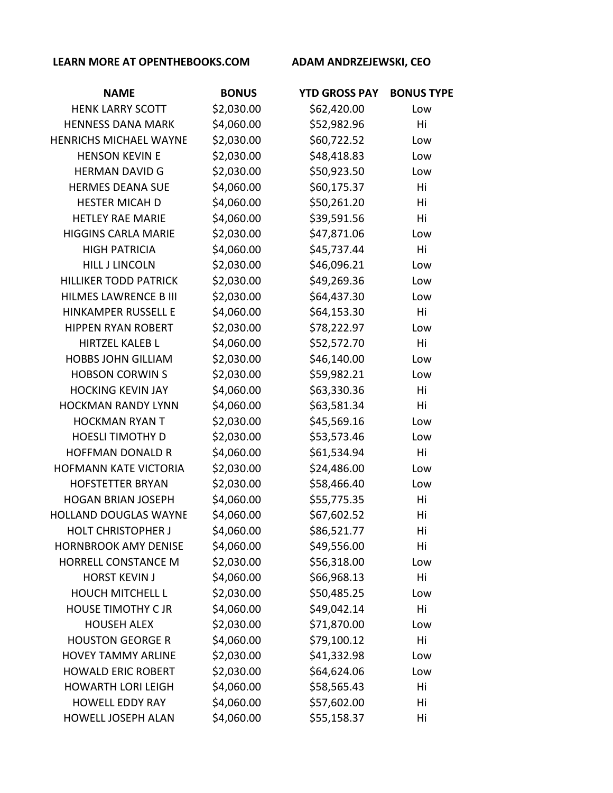| <b>NAME</b>                   | <b>BONUS</b> | <b>YTD GROSS PAY</b> | <b>BONUS TYPE</b> |
|-------------------------------|--------------|----------------------|-------------------|
| <b>HENK LARRY SCOTT</b>       | \$2,030.00   | \$62,420.00          | Low               |
| <b>HENNESS DANA MARK</b>      | \$4,060.00   | \$52,982.96          | Hi                |
| <b>HENRICHS MICHAEL WAYNE</b> | \$2,030.00   | \$60,722.52          | Low               |
| <b>HENSON KEVIN E</b>         | \$2,030.00   | \$48,418.83          | Low               |
| <b>HERMAN DAVID G</b>         | \$2,030.00   | \$50,923.50          | Low               |
| <b>HERMES DEANA SUE</b>       | \$4,060.00   | \$60,175.37          | Hi                |
| <b>HESTER MICAH D</b>         | \$4,060.00   | \$50,261.20          | Hi                |
| <b>HETLEY RAE MARIE</b>       | \$4,060.00   | \$39,591.56          | Hi                |
| <b>HIGGINS CARLA MARIE</b>    | \$2,030.00   | \$47,871.06          | Low               |
| <b>HIGH PATRICIA</b>          | \$4,060.00   | \$45,737.44          | Hi                |
| <b>HILL J LINCOLN</b>         | \$2,030.00   | \$46,096.21          | Low               |
| <b>HILLIKER TODD PATRICK</b>  | \$2,030.00   | \$49,269.36          | Low               |
| <b>HILMES LAWRENCE B III</b>  | \$2,030.00   | \$64,437.30          | Low               |
| <b>HINKAMPER RUSSELL E</b>    | \$4,060.00   | \$64,153.30          | Hi                |
| <b>HIPPEN RYAN ROBERT</b>     | \$2,030.00   | \$78,222.97          | Low               |
| <b>HIRTZEL KALEB L</b>        | \$4,060.00   | \$52,572.70          | Hi                |
| <b>HOBBS JOHN GILLIAM</b>     | \$2,030.00   | \$46,140.00          | Low               |
| <b>HOBSON CORWINS</b>         | \$2,030.00   | \$59,982.21          | Low               |
| <b>HOCKING KEVIN JAY</b>      | \$4,060.00   | \$63,330.36          | Hi                |
| <b>HOCKMAN RANDY LYNN</b>     | \$4,060.00   | \$63,581.34          | Hi                |
| <b>HOCKMAN RYAN T</b>         | \$2,030.00   | \$45,569.16          | Low               |
| <b>HOESLI TIMOTHY D</b>       | \$2,030.00   | \$53,573.46          | Low               |
| <b>HOFFMAN DONALD R</b>       | \$4,060.00   | \$61,534.94          | Hi                |
| HOFMANN KATE VICTORIA         | \$2,030.00   | \$24,486.00          | Low               |
| <b>HOFSTETTER BRYAN</b>       | \$2,030.00   | \$58,466.40          | Low               |
| <b>HOGAN BRIAN JOSEPH</b>     | \$4,060.00   | \$55,775.35          | Hi                |
| HOLLAND DOUGLAS WAYNE         | \$4,060.00   | \$67,602.52          | Hi                |
| <b>HOLT CHRISTOPHER J</b>     | \$4,060.00   | \$86,521.77          | Hi                |
| <b>HORNBROOK AMY DENISE</b>   | \$4,060.00   | \$49,556.00          | Hi                |
| <b>HORRELL CONSTANCE M</b>    | \$2,030.00   | \$56,318.00          | Low               |
| <b>HORST KEVIN J</b>          | \$4,060.00   | \$66,968.13          | Hi                |
| <b>HOUCH MITCHELL L</b>       | \$2,030.00   | \$50,485.25          | Low               |
| <b>HOUSE TIMOTHY C JR</b>     | \$4,060.00   | \$49,042.14          | Hi                |
| <b>HOUSEH ALEX</b>            | \$2,030.00   | \$71,870.00          | Low               |
| <b>HOUSTON GEORGE R</b>       | \$4,060.00   | \$79,100.12          | Hi                |
| <b>HOVEY TAMMY ARLINE</b>     | \$2,030.00   | \$41,332.98          | Low               |
| <b>HOWALD ERIC ROBERT</b>     | \$2,030.00   | \$64,624.06          | Low               |
| <b>HOWARTH LORI LEIGH</b>     | \$4,060.00   | \$58,565.43          | Hi                |
| <b>HOWELL EDDY RAY</b>        | \$4,060.00   | \$57,602.00          | Hi                |
| HOWELL JOSEPH ALAN            | \$4,060.00   | \$55,158.37          | Hi                |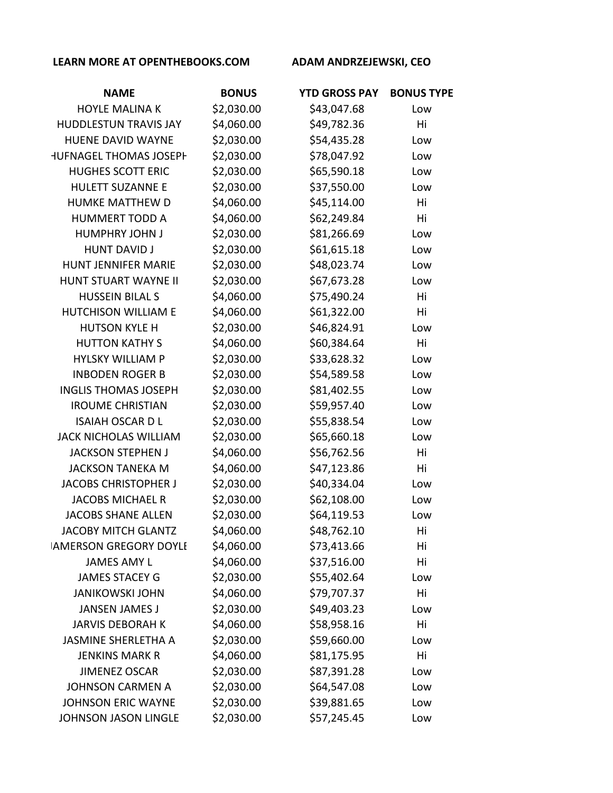| <b>NAME</b>                   | <b>BONUS</b> | <b>YTD GROSS PAY</b> | <b>BONUS TYPE</b> |
|-------------------------------|--------------|----------------------|-------------------|
| <b>HOYLE MALINA K</b>         | \$2,030.00   | \$43,047.68          | Low               |
| <b>HUDDLESTUN TRAVIS JAY</b>  | \$4,060.00   | \$49,782.36          | Hi                |
| <b>HUENE DAVID WAYNE</b>      | \$2,030.00   | \$54,435.28          | Low               |
| <b>HUFNAGEL THOMAS JOSEPH</b> | \$2,030.00   | \$78,047.92          | Low               |
| <b>HUGHES SCOTT ERIC</b>      | \$2,030.00   | \$65,590.18          | Low               |
| <b>HULETT SUZANNE E</b>       | \$2,030.00   | \$37,550.00          | Low               |
| HUMKE MATTHEW D               | \$4,060.00   | \$45,114.00          | Hi                |
| <b>HUMMERT TODD A</b>         | \$4,060.00   | \$62,249.84          | Hi                |
| <b>HUMPHRY JOHN J</b>         | \$2,030.00   | \$81,266.69          | Low               |
| <b>HUNT DAVID J</b>           | \$2,030.00   | \$61,615.18          | Low               |
| <b>HUNT JENNIFER MARIE</b>    | \$2,030.00   | \$48,023.74          | Low               |
| HUNT STUART WAYNE II          | \$2,030.00   | \$67,673.28          | Low               |
| <b>HUSSEIN BILAL S</b>        | \$4,060.00   | \$75,490.24          | Hi                |
| HUTCHISON WILLIAM E           | \$4,060.00   | \$61,322.00          | Hi                |
| <b>HUTSON KYLE H</b>          | \$2,030.00   | \$46,824.91          | Low               |
| <b>HUTTON KATHY S</b>         | \$4,060.00   | \$60,384.64          | Hi                |
| <b>HYLSKY WILLIAM P</b>       | \$2,030.00   | \$33,628.32          | Low               |
| <b>INBODEN ROGER B</b>        | \$2,030.00   | \$54,589.58          | Low               |
| <b>INGLIS THOMAS JOSEPH</b>   | \$2,030.00   | \$81,402.55          | Low               |
| <b>IROUME CHRISTIAN</b>       | \$2,030.00   | \$59,957.40          | Low               |
| <b>ISAIAH OSCAR D L</b>       | \$2,030.00   | \$55,838.54          | Low               |
| <b>JACK NICHOLAS WILLIAM</b>  | \$2,030.00   | \$65,660.18          | Low               |
| <b>JACKSON STEPHEN J</b>      | \$4,060.00   | \$56,762.56          | Hi                |
| <b>JACKSON TANEKA M</b>       | \$4,060.00   | \$47,123.86          | Hi                |
| <b>JACOBS CHRISTOPHER J</b>   | \$2,030.00   | \$40,334.04          | Low               |
| <b>JACOBS MICHAEL R</b>       | \$2,030.00   | \$62,108.00          | Low               |
| <b>JACOBS SHANE ALLEN</b>     | \$2,030.00   | \$64,119.53          | Low               |
| <b>JACOBY MITCH GLANTZ</b>    | \$4,060.00   | \$48,762.10          | Hi                |
| <b>IAMERSON GREGORY DOYLI</b> | \$4,060.00   | \$73,413.66          | Hi                |
| <b>JAMES AMY L</b>            | \$4,060.00   | \$37,516.00          | Hi                |
| <b>JAMES STACEY G</b>         | \$2,030.00   | \$55,402.64          | Low               |
| <b>JANIKOWSKI JOHN</b>        | \$4,060.00   | \$79,707.37          | Hi                |
| <b>JANSEN JAMES J</b>         | \$2,030.00   | \$49,403.23          | Low               |
| <b>JARVIS DEBORAH K</b>       | \$4,060.00   | \$58,958.16          | Hi                |
| <b>JASMINE SHERLETHA A</b>    | \$2,030.00   | \$59,660.00          | Low               |
| <b>JENKINS MARK R</b>         | \$4,060.00   | \$81,175.95          | Hi                |
| <b>JIMENEZ OSCAR</b>          | \$2,030.00   | \$87,391.28          | Low               |
| <b>JOHNSON CARMEN A</b>       | \$2,030.00   | \$64,547.08          | Low               |
| <b>JOHNSON ERIC WAYNE</b>     | \$2,030.00   | \$39,881.65          | Low               |
| <b>JOHNSON JASON LINGLE</b>   | \$2,030.00   | \$57,245.45          | Low               |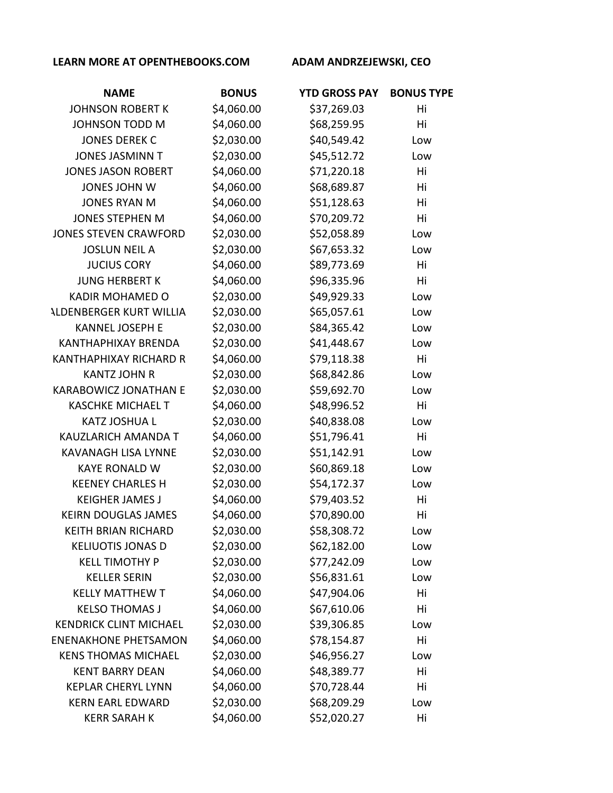| <b>NAME</b>                    | <b>BONUS</b> | <b>YTD GROSS PAY</b> | <b>BONUS TYPE</b> |
|--------------------------------|--------------|----------------------|-------------------|
| <b>JOHNSON ROBERT K</b>        | \$4,060.00   | \$37,269.03          | Hi                |
| <b>JOHNSON TODD M</b>          | \$4,060.00   | \$68,259.95          | Hi                |
| <b>JONES DEREK C</b>           | \$2,030.00   | \$40,549.42          | Low               |
| <b>JONES JASMINN T</b>         | \$2,030.00   | \$45,512.72          | Low               |
| <b>JONES JASON ROBERT</b>      | \$4,060.00   | \$71,220.18          | Hi                |
| <b>JONES JOHN W</b>            | \$4,060.00   | \$68,689.87          | Hi                |
| <b>JONES RYAN M</b>            | \$4,060.00   | \$51,128.63          | Hi                |
| <b>JONES STEPHEN M</b>         | \$4,060.00   | \$70,209.72          | Hi                |
| <b>JONES STEVEN CRAWFORD</b>   | \$2,030.00   | \$52,058.89          | Low               |
| <b>JOSLUN NEIL A</b>           | \$2,030.00   | \$67,653.32          | Low               |
| <b>JUCIUS CORY</b>             | \$4,060.00   | \$89,773.69          | Hi                |
| <b>JUNG HERBERT K</b>          | \$4,060.00   | \$96,335.96          | Hi                |
| <b>KADIR MOHAMED O</b>         | \$2,030.00   | \$49,929.33          | Low               |
| <b>ALDENBERGER KURT WILLIA</b> | \$2,030.00   | \$65,057.61          | Low               |
| <b>KANNEL JOSEPH E</b>         | \$2,030.00   | \$84,365.42          | Low               |
| <b>KANTHAPHIXAY BRENDA</b>     | \$2,030.00   | \$41,448.67          | Low               |
| <b>KANTHAPHIXAY RICHARD R</b>  | \$4,060.00   | \$79,118.38          | Hi                |
| <b>KANTZ JOHN R</b>            | \$2,030.00   | \$68,842.86          | Low               |
| <b>KARABOWICZ JONATHAN E</b>   | \$2,030.00   | \$59,692.70          | Low               |
| <b>KASCHKE MICHAEL T</b>       | \$4,060.00   | \$48,996.52          | Hi                |
| <b>KATZ JOSHUA L</b>           | \$2,030.00   | \$40,838.08          | Low               |
| KAUZLARICH AMANDA T            | \$4,060.00   | \$51,796.41          | Hi                |
| <b>KAVANAGH LISA LYNNE</b>     | \$2,030.00   | \$51,142.91          | Low               |
| <b>KAYE RONALD W</b>           | \$2,030.00   | \$60,869.18          | Low               |
| <b>KEENEY CHARLES H</b>        | \$2,030.00   | \$54,172.37          | Low               |
| <b>KEIGHER JAMES J</b>         | \$4,060.00   | \$79,403.52          | Hi                |
| <b>KEIRN DOUGLAS JAMES</b>     | \$4,060.00   | \$70,890.00          | Hi                |
| <b>KEITH BRIAN RICHARD</b>     | \$2,030.00   | \$58,308.72          | Low               |
| <b>KELIUOTIS JONAS D</b>       | \$2,030.00   | \$62,182.00          | Low               |
| <b>KELL TIMOTHY P</b>          | \$2,030.00   | \$77,242.09          | Low               |
| <b>KELLER SERIN</b>            | \$2,030.00   | \$56,831.61          | Low               |
| <b>KELLY MATTHEW T</b>         | \$4,060.00   | \$47,904.06          | Hi                |
| <b>KELSO THOMAS J</b>          | \$4,060.00   | \$67,610.06          | Hi                |
| <b>KENDRICK CLINT MICHAEL</b>  | \$2,030.00   | \$39,306.85          | Low               |
| <b>ENENAKHONE PHETSAMON</b>    | \$4,060.00   | \$78,154.87          | Hi                |
| <b>KENS THOMAS MICHAEL</b>     | \$2,030.00   | \$46,956.27          | Low               |
| <b>KENT BARRY DEAN</b>         | \$4,060.00   | \$48,389.77          | Hi                |
| <b>KEPLAR CHERYL LYNN</b>      | \$4,060.00   | \$70,728.44          | Hi                |
| <b>KERN EARL EDWARD</b>        | \$2,030.00   | \$68,209.29          | Low               |
| <b>KERR SARAH K</b>            | \$4,060.00   | \$52,020.27          | Hi                |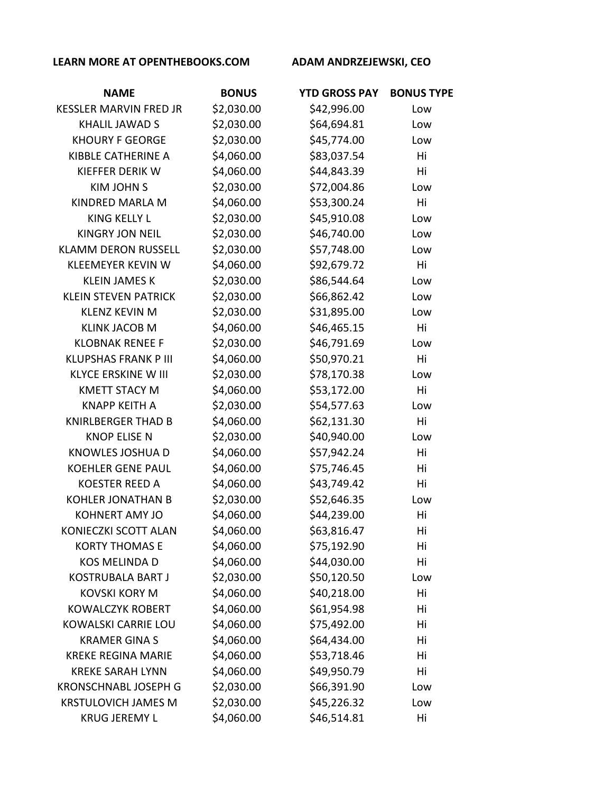| <b>NAME</b>                   | <b>BONUS</b> | <b>YTD GROSS PAY</b> | <b>BONUS TYPE</b> |
|-------------------------------|--------------|----------------------|-------------------|
| <b>KESSLER MARVIN FRED JR</b> | \$2,030.00   | \$42,996.00          | Low               |
| <b>KHALIL JAWAD S</b>         | \$2,030.00   | \$64,694.81          | Low               |
| <b>KHOURY F GEORGE</b>        | \$2,030.00   | \$45,774.00          | Low               |
| KIBBLE CATHERINE A            | \$4,060.00   | \$83,037.54          | Hi                |
| KIEFFER DERIK W               | \$4,060.00   | \$44,843.39          | Hi                |
| <b>KIM JOHN S</b>             | \$2,030.00   | \$72,004.86          | Low               |
| KINDRED MARLA M               | \$4,060.00   | \$53,300.24          | Hi                |
| <b>KING KELLY L</b>           | \$2,030.00   | \$45,910.08          | Low               |
| <b>KINGRY JON NEIL</b>        | \$2,030.00   | \$46,740.00          | Low               |
| <b>KLAMM DERON RUSSELL</b>    | \$2,030.00   | \$57,748.00          | Low               |
| <b>KLEEMEYER KEVIN W</b>      | \$4,060.00   | \$92,679.72          | Hi                |
| <b>KLEIN JAMES K</b>          | \$2,030.00   | \$86,544.64          | Low               |
| <b>KLEIN STEVEN PATRICK</b>   | \$2,030.00   | \$66,862.42          | Low               |
| <b>KLENZ KEVIN M</b>          | \$2,030.00   | \$31,895.00          | Low               |
| <b>KLINK JACOB M</b>          | \$4,060.00   | \$46,465.15          | Hi                |
| <b>KLOBNAK RENEE F</b>        | \$2,030.00   | \$46,791.69          | Low               |
| <b>KLUPSHAS FRANK P III</b>   | \$4,060.00   | \$50,970.21          | Hi                |
| <b>KLYCE ERSKINE W III</b>    | \$2,030.00   | \$78,170.38          | Low               |
| <b>KMETT STACY M</b>          | \$4,060.00   | \$53,172.00          | Hi                |
| <b>KNAPP KEITH A</b>          | \$2,030.00   | \$54,577.63          | Low               |
| <b>KNIRLBERGER THAD B</b>     | \$4,060.00   | \$62,131.30          | Hi                |
| <b>KNOP ELISE N</b>           | \$2,030.00   | \$40,940.00          | Low               |
| KNOWLES JOSHUA D              | \$4,060.00   | \$57,942.24          | Hi                |
| <b>KOEHLER GENE PAUL</b>      | \$4,060.00   | \$75,746.45          | Hi                |
| <b>KOESTER REED A</b>         | \$4,060.00   | \$43,749.42          | Hi                |
| <b>KOHLER JONATHAN B</b>      | \$2,030.00   | \$52,646.35          | Low               |
| <b>KOHNERT AMY JO</b>         | \$4,060.00   | \$44,239.00          | Hi                |
| KONIECZKI SCOTT ALAN          | \$4,060.00   | \$63,816.47          | Hi                |
| <b>KORTY THOMAS E</b>         | \$4,060.00   | \$75,192.90          | Hi                |
| <b>KOS MELINDA D</b>          | \$4,060.00   | \$44,030.00          | Hi                |
| <b>KOSTRUBALA BART J</b>      | \$2,030.00   | \$50,120.50          | Low               |
| <b>KOVSKI KORY M</b>          | \$4,060.00   | \$40,218.00          | Hi                |
| <b>KOWALCZYK ROBERT</b>       | \$4,060.00   | \$61,954.98          | Hi                |
| <b>KOWALSKI CARRIE LOU</b>    | \$4,060.00   | \$75,492.00          | Hi                |
| <b>KRAMER GINA S</b>          | \$4,060.00   | \$64,434.00          | Hi                |
| <b>KREKE REGINA MARIE</b>     | \$4,060.00   | \$53,718.46          | Hi                |
| <b>KREKE SARAH LYNN</b>       | \$4,060.00   | \$49,950.79          | Hi                |
| <b>KRONSCHNABL JOSEPH G</b>   | \$2,030.00   | \$66,391.90          | Low               |
| <b>KRSTULOVICH JAMES M</b>    | \$2,030.00   | \$45,226.32          | Low               |
| <b>KRUG JEREMY L</b>          | \$4,060.00   | \$46,514.81          | Hi                |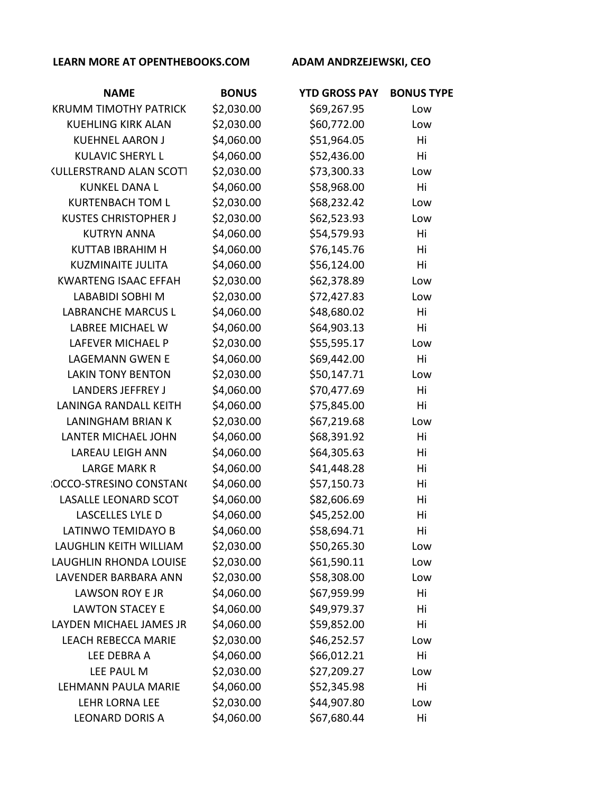| <b>NAME</b>                    | <b>BONUS</b> | <b>YTD GROSS PAY</b> | <b>BONUS TYPE</b> |
|--------------------------------|--------------|----------------------|-------------------|
| <b>KRUMM TIMOTHY PATRICK</b>   | \$2,030.00   | \$69,267.95          | Low               |
| <b>KUEHLING KIRK ALAN</b>      | \$2,030.00   | \$60,772.00          | Low               |
| <b>KUEHNEL AARON J</b>         | \$4,060.00   | \$51,964.05          | Hi                |
| <b>KULAVIC SHERYL L</b>        | \$4,060.00   | \$52,436.00          | Hi                |
| <b>KULLERSTRAND ALAN SCOTT</b> | \$2,030.00   | \$73,300.33          | Low               |
| <b>KUNKEL DANA L</b>           | \$4,060.00   | \$58,968.00          | Hi                |
| <b>KURTENBACH TOM L</b>        | \$2,030.00   | \$68,232.42          | Low               |
| <b>KUSTES CHRISTOPHER J</b>    | \$2,030.00   | \$62,523.93          | Low               |
| <b>KUTRYN ANNA</b>             | \$4,060.00   | \$54,579.93          | Hi                |
| <b>KUTTAB IBRAHIM H</b>        | \$4,060.00   | \$76,145.76          | Hi                |
| <b>KUZMINAITE JULITA</b>       | \$4,060.00   | \$56,124.00          | Hi                |
| <b>KWARTENG ISAAC EFFAH</b>    | \$2,030.00   | \$62,378.89          | Low               |
| <b>LABABIDI SOBHI M</b>        | \$2,030.00   | \$72,427.83          | Low               |
| <b>LABRANCHE MARCUS L</b>      | \$4,060.00   | \$48,680.02          | Hi                |
| LABREE MICHAEL W               | \$4,060.00   | \$64,903.13          | Hi                |
| <b>LAFEVER MICHAEL P</b>       | \$2,030.00   | \$55,595.17          | Low               |
| <b>LAGEMANN GWEN E</b>         | \$4,060.00   | \$69,442.00          | Hi                |
| <b>LAKIN TONY BENTON</b>       | \$2,030.00   | \$50,147.71          | Low               |
| <b>LANDERS JEFFREY J</b>       | \$4,060.00   | \$70,477.69          | Hi                |
| <b>LANINGA RANDALL KEITH</b>   | \$4,060.00   | \$75,845.00          | Hi                |
| <b>LANINGHAM BRIAN K</b>       | \$2,030.00   | \$67,219.68          | Low               |
| LANTER MICHAEL JOHN            | \$4,060.00   | \$68,391.92          | Hi                |
| <b>LAREAU LEIGH ANN</b>        | \$4,060.00   | \$64,305.63          | Hi                |
| <b>LARGE MARK R</b>            | \$4,060.00   | \$41,448.28          | Hi                |
| <b>:OCCO-STRESINO CONSTAN(</b> | \$4,060.00   | \$57,150.73          | Hi                |
| LASALLE LEONARD SCOT           | \$4,060.00   | \$82,606.69          | Hi                |
| LASCELLES LYLE D               | \$4,060.00   | \$45,252.00          | Hi                |
| LATINWO TEMIDAYO B             | \$4,060.00   | \$58,694.71          | Hi                |
| LAUGHLIN KEITH WILLIAM         | \$2,030.00   | \$50,265.30          | Low               |
| LAUGHLIN RHONDA LOUISE         | \$2,030.00   | \$61,590.11          | Low               |
| LAVENDER BARBARA ANN           | \$2,030.00   | \$58,308.00          | Low               |
| LAWSON ROY E JR                | \$4,060.00   | \$67,959.99          | Hi                |
| <b>LAWTON STACEY E</b>         | \$4,060.00   | \$49,979.37          | Hi                |
| LAYDEN MICHAEL JAMES JR        | \$4,060.00   | \$59,852.00          | Hi                |
| <b>LEACH REBECCA MARIE</b>     | \$2,030.00   | \$46,252.57          | Low               |
| LEE DEBRA A                    | \$4,060.00   | \$66,012.21          | Hi                |
| LEE PAUL M                     | \$2,030.00   | \$27,209.27          | Low               |
| LEHMANN PAULA MARIE            | \$4,060.00   | \$52,345.98          | Hi                |
| <b>LEHR LORNA LEE</b>          | \$2,030.00   | \$44,907.80          | Low               |
| <b>LEONARD DORIS A</b>         | \$4,060.00   | \$67,680.44          | Hi                |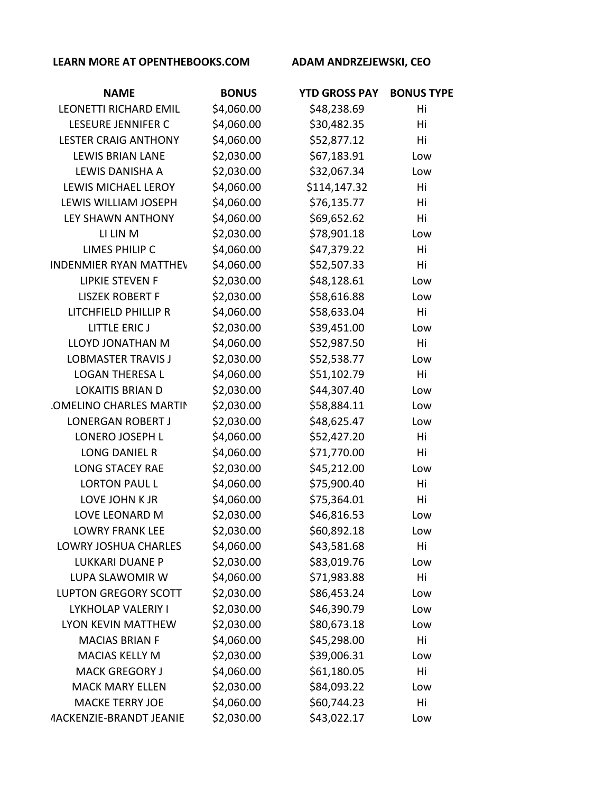| <b>NAME</b>                           | <b>BONUS</b> | <b>YTD GROSS PAY</b> | <b>BONUS TYPE</b> |
|---------------------------------------|--------------|----------------------|-------------------|
| <b>LEONETTI RICHARD EMIL</b>          | \$4,060.00   | \$48,238.69          | Hi                |
| <b>LESEURE JENNIFER C</b>             | \$4,060.00   | \$30,482.35          | Hi                |
| <b>LESTER CRAIG ANTHONY</b>           | \$4,060.00   | \$52,877.12          | Hi                |
| <b>LEWIS BRIAN LANE</b>               | \$2,030.00   | \$67,183.91          | Low               |
| LEWIS DANISHA A                       | \$2,030.00   | \$32,067.34          | Low               |
| <b>LEWIS MICHAEL LEROY</b>            | \$4,060.00   | \$114,147.32         | Hi                |
| LEWIS WILLIAM JOSEPH                  | \$4,060.00   | \$76,135.77          | Hi                |
| <b>LEY SHAWN ANTHONY</b>              | \$4,060.00   | \$69,652.62          | Hi                |
| LI LIN M                              | \$2,030.00   | \$78,901.18          | Low               |
| LIMES PHILIP C                        | \$4,060.00   | \$47,379.22          | Hi                |
| <b>INDENMIER RYAN MATTHEY</b>         | \$4,060.00   | \$52,507.33          | Hi                |
| <b>LIPKIE STEVEN F</b>                | \$2,030.00   | \$48,128.61          | Low               |
| <b>LISZEK ROBERT F</b>                | \$2,030.00   | \$58,616.88          | Low               |
| LITCHFIELD PHILLIP R                  | \$4,060.00   | \$58,633.04          | Hi                |
| <b>LITTLE ERIC J</b>                  | \$2,030.00   | \$39,451.00          | Low               |
| LLOYD JONATHAN M                      | \$4,060.00   | \$52,987.50          | Hi                |
| <b>LOBMASTER TRAVIS J</b>             | \$2,030.00   | \$52,538.77          | Low               |
| <b>LOGAN THERESA L</b>                | \$4,060.00   | \$51,102.79          | Hi                |
| <b>LOKAITIS BRIAN D</b>               | \$2,030.00   | \$44,307.40          | Low               |
| <b>.OMELINO CHARLES MARTIN</b>        | \$2,030.00   | \$58,884.11          | Low               |
| <b>LONERGAN ROBERT J</b>              | \$2,030.00   | \$48,625.47          | Low               |
| LONERO JOSEPH L                       | \$4,060.00   | \$52,427.20          | Hi                |
| <b>LONG DANIEL R</b>                  | \$4,060.00   | \$71,770.00          | Hi                |
| <b>LONG STACEY RAE</b>                | \$2,030.00   | \$45,212.00          | Low               |
| <b>LORTON PAUL L</b>                  | \$4,060.00   | \$75,900.40          | Hi                |
| LOVE JOHN K JR                        | \$4,060.00   | \$75,364.01          | Hi                |
| LOVE LEONARD M                        | \$2,030.00   | \$46,816.53          | Low               |
| <b>LOWRY FRANK LEE</b>                | \$2,030.00   | \$60,892.18          | Low               |
| <b>LOWRY JOSHUA CHARLES</b>           | \$4,060.00   | \$43,581.68          | Hi                |
| <b>LUKKARI DUANE P</b>                | \$2,030.00   | \$83,019.76          | Low               |
| LUPA SLAWOMIR W                       | \$4,060.00   | \$71,983.88          | Hi                |
| <b>LUPTON GREGORY SCOTT</b>           | \$2,030.00   | \$86,453.24          | Low               |
| LYKHOLAP VALERIY I                    | \$2,030.00   | \$46,390.79          | Low               |
| <b>LYON KEVIN MATTHEW</b>             | \$2,030.00   | \$80,673.18          | Low               |
| <b>MACIAS BRIAN F</b>                 | \$4,060.00   | \$45,298.00          | Hi                |
| <b>MACIAS KELLY M</b>                 | \$2,030.00   | \$39,006.31          | Low               |
| <b>MACK GREGORY J</b>                 | \$4,060.00   | \$61,180.05          | Hi                |
| <b>MACK MARY ELLEN</b>                | \$2,030.00   | \$84,093.22          | Low               |
| <b>MACKE TERRY JOE</b>                | \$4,060.00   | \$60,744.23          | Hi                |
| <b><i>AACKENZIE-BRANDT JEANIE</i></b> | \$2,030.00   | \$43,022.17          | Low               |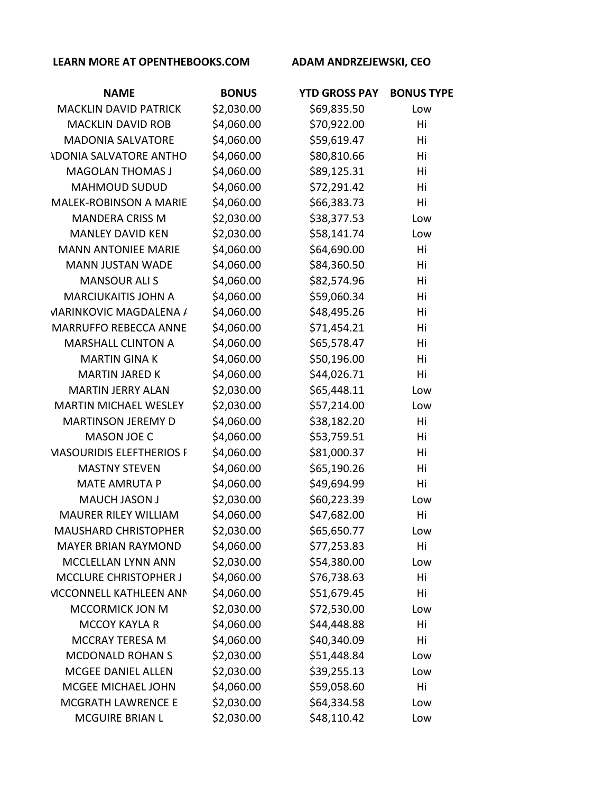| <b>NAME</b>                     | <b>BONUS</b> | <b>YTD GROSS PAY</b> | <b>BONUS TYPE</b> |
|---------------------------------|--------------|----------------------|-------------------|
| <b>MACKLIN DAVID PATRICK</b>    | \$2,030.00   | \$69,835.50          | Low               |
| <b>MACKLIN DAVID ROB</b>        | \$4,060.00   | \$70,922.00          | Hi                |
| <b>MADONIA SALVATORE</b>        | \$4,060.00   | \$59,619.47          | Hi                |
| <b>ADONIA SALVATORE ANTHO</b>   | \$4,060.00   | \$80,810.66          | Hi                |
| <b>MAGOLAN THOMAS J</b>         | \$4,060.00   | \$89,125.31          | Hi                |
| <b>MAHMOUD SUDUD</b>            | \$4,060.00   | \$72,291.42          | Hi                |
| <b>MALEK-ROBINSON A MARIE</b>   | \$4,060.00   | \$66,383.73          | Hi                |
| <b>MANDERA CRISS M</b>          | \$2,030.00   | \$38,377.53          | Low               |
| <b>MANLEY DAVID KEN</b>         | \$2,030.00   | \$58,141.74          | Low               |
| <b>MANN ANTONIEE MARIE</b>      | \$4,060.00   | \$64,690.00          | Hi                |
| <b>MANN JUSTAN WADE</b>         | \$4,060.00   | \$84,360.50          | Hi                |
| <b>MANSOUR ALIS</b>             | \$4,060.00   | \$82,574.96          | Hi                |
| <b>MARCIUKAITIS JOHN A</b>      | \$4,060.00   | \$59,060.34          | Hi                |
| <b>VIARINKOVIC MAGDALENA /</b>  | \$4,060.00   | \$48,495.26          | Hi                |
| <b>MARRUFFO REBECCA ANNE</b>    | \$4,060.00   | \$71,454.21          | Hi                |
| <b>MARSHALL CLINTON A</b>       | \$4,060.00   | \$65,578.47          | Hi                |
| <b>MARTIN GINA K</b>            | \$4,060.00   | \$50,196.00          | Hi                |
| <b>MARTIN JARED K</b>           | \$4,060.00   | \$44,026.71          | Hi                |
| <b>MARTIN JERRY ALAN</b>        | \$2,030.00   | \$65,448.11          | Low               |
| <b>MARTIN MICHAEL WESLEY</b>    | \$2,030.00   | \$57,214.00          | Low               |
| <b>MARTINSON JEREMY D</b>       | \$4,060.00   | \$38,182.20          | Hi                |
| <b>MASON JOE C</b>              | \$4,060.00   | \$53,759.51          | Hi                |
| <b>MASOURIDIS ELEFTHERIOS F</b> | \$4,060.00   | \$81,000.37          | Hi                |
| <b>MASTNY STEVEN</b>            | \$4,060.00   | \$65,190.26          | Hi                |
| <b>MATE AMRUTA P</b>            | \$4,060.00   | \$49,694.99          | Hi                |
| <b>MAUCH JASON J</b>            | \$2,030.00   | \$60,223.39          | Low               |
| <b>MAURER RILEY WILLIAM</b>     | \$4,060.00   | \$47,682.00          | Hi                |
| <b>MAUSHARD CHRISTOPHER</b>     | \$2,030.00   | \$65,650.77          | Low               |
| <b>MAYER BRIAN RAYMOND</b>      | \$4,060.00   | \$77,253.83          | Hi                |
| MCCLELLAN LYNN ANN              | \$2,030.00   | \$54,380.00          | Low               |
| <b>MCCLURE CHRISTOPHER J</b>    | \$4,060.00   | \$76,738.63          | Hi                |
| <b>VICCONNELL KATHLEEN ANN</b>  | \$4,060.00   | \$51,679.45          | Hi                |
| MCCORMICK JON M                 | \$2,030.00   | \$72,530.00          | Low               |
| <b>MCCOY KAYLA R</b>            | \$4,060.00   | \$44,448.88          | Hi                |
| <b>MCCRAY TERESA M</b>          | \$4,060.00   | \$40,340.09          | Hi                |
| <b>MCDONALD ROHAN S</b>         | \$2,030.00   | \$51,448.84          | Low               |
| MCGEE DANIEL ALLEN              | \$2,030.00   | \$39,255.13          | Low               |
| MCGEE MICHAEL JOHN              | \$4,060.00   | \$59,058.60          | Hi                |
| <b>MCGRATH LAWRENCE E</b>       | \$2,030.00   | \$64,334.58          | Low               |
| <b>MCGUIRE BRIAN L</b>          | \$2,030.00   | \$48,110.42          | Low               |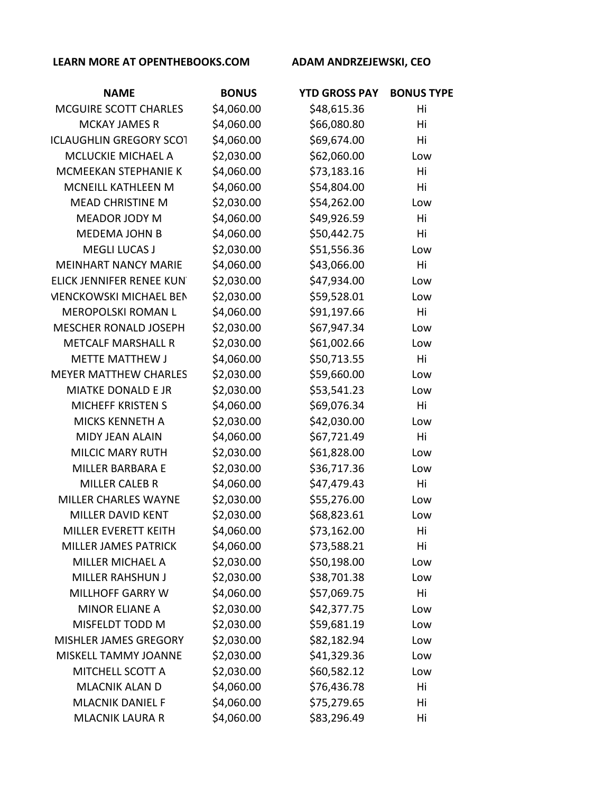| <b>NAME</b>                    | <b>BONUS</b> | <b>YTD GROSS PAY</b> | <b>BONUS TYPE</b> |
|--------------------------------|--------------|----------------------|-------------------|
| MCGUIRE SCOTT CHARLES          | \$4,060.00   | \$48,615.36          | Hi                |
| <b>MCKAY JAMES R</b>           | \$4,060.00   | \$66,080.80          | Hi                |
| <b>ICLAUGHLIN GREGORY SCOT</b> | \$4,060.00   | \$69,674.00          | Hi                |
| MCLUCKIE MICHAEL A             | \$2,030.00   | \$62,060.00          | Low               |
| MCMEEKAN STEPHANIE K           | \$4,060.00   | \$73,183.16          | Hi                |
| MCNEILL KATHLEEN M             | \$4,060.00   | \$54,804.00          | Hi                |
| <b>MEAD CHRISTINE M</b>        | \$2,030.00   | \$54,262.00          | Low               |
| MEADOR JODY M                  | \$4,060.00   | \$49,926.59          | Hi                |
| <b>MEDEMA JOHN B</b>           | \$4,060.00   | \$50,442.75          | Hi                |
| <b>MEGLI LUCAS J</b>           | \$2,030.00   | \$51,556.36          | Low               |
| <b>MEINHART NANCY MARIE</b>    | \$4,060.00   | \$43,066.00          | Hi                |
| ELICK JENNIFER RENEE KUN       | \$2,030.00   | \$47,934.00          | Low               |
| <b>VIENCKOWSKI MICHAEL BEN</b> | \$2,030.00   | \$59,528.01          | Low               |
| <b>MEROPOLSKI ROMAN L</b>      | \$4,060.00   | \$91,197.66          | Hi                |
| <b>MESCHER RONALD JOSEPH</b>   | \$2,030.00   | \$67,947.34          | Low               |
| <b>METCALF MARSHALL R</b>      | \$2,030.00   | \$61,002.66          | Low               |
| <b>METTE MATTHEW J</b>         | \$4,060.00   | \$50,713.55          | Hi                |
| <b>MEYER MATTHEW CHARLES</b>   | \$2,030.00   | \$59,660.00          | Low               |
| <b>MIATKE DONALD E JR</b>      | \$2,030.00   | \$53,541.23          | Low               |
| <b>MICHEFF KRISTEN S</b>       | \$4,060.00   | \$69,076.34          | Hi                |
| <b>MICKS KENNETH A</b>         | \$2,030.00   | \$42,030.00          | Low               |
| <b>MIDY JEAN ALAIN</b>         | \$4,060.00   | \$67,721.49          | Hi                |
| <b>MILCIC MARY RUTH</b>        | \$2,030.00   | \$61,828.00          | Low               |
| <b>MILLER BARBARA E</b>        | \$2,030.00   | \$36,717.36          | Low               |
| <b>MILLER CALEB R</b>          | \$4,060.00   | \$47,479.43          | Hi                |
| MILLER CHARLES WAYNE           | \$2,030.00   | \$55,276.00          | Low               |
| <b>MILLER DAVID KENT</b>       | \$2,030.00   | \$68,823.61          | Low               |
| MILLER EVERETT KEITH           | \$4,060.00   | \$73,162.00          | Hi                |
| <b>MILLER JAMES PATRICK</b>    | \$4,060.00   | \$73,588.21          | Hi                |
| <b>MILLER MICHAEL A</b>        | \$2,030.00   | \$50,198.00          | Low               |
| <b>MILLER RAHSHUN J</b>        | \$2,030.00   | \$38,701.38          | Low               |
| <b>MILLHOFF GARRY W</b>        | \$4,060.00   | \$57,069.75          | Hi                |
| <b>MINOR ELIANE A</b>          | \$2,030.00   | \$42,377.75          | Low               |
| MISFELDT TODD M                | \$2,030.00   | \$59,681.19          | Low               |
| MISHLER JAMES GREGORY          | \$2,030.00   | \$82,182.94          | Low               |
| MISKELL TAMMY JOANNE           | \$2,030.00   | \$41,329.36          | Low               |
| MITCHELL SCOTT A               | \$2,030.00   | \$60,582.12          | Low               |
| <b>MLACNIK ALAN D</b>          | \$4,060.00   | \$76,436.78          | Hi                |
| <b>MLACNIK DANIEL F</b>        | \$4,060.00   | \$75,279.65          | Hi                |
| <b>MLACNIK LAURA R</b>         | \$4,060.00   | \$83,296.49          | Hi                |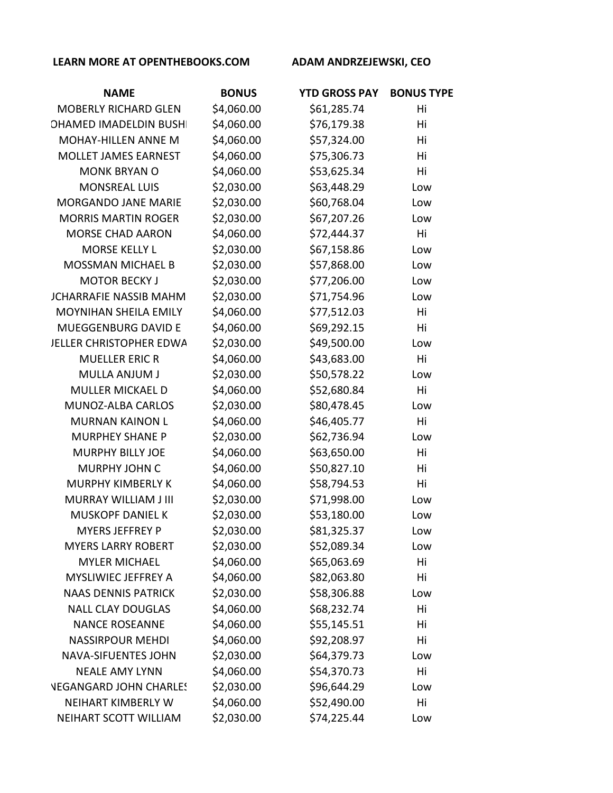| <b>NAME</b>                   | <b>BONUS</b> | <b>YTD GROSS PAY</b> | <b>BONUS TYPE</b> |
|-------------------------------|--------------|----------------------|-------------------|
| <b>MOBERLY RICHARD GLEN</b>   | \$4,060.00   | \$61,285.74          | Hi                |
| <b>OHAMED IMADELDIN BUSH</b>  | \$4,060.00   | \$76,179.38          | Hi                |
| <b>MOHAY-HILLEN ANNE M</b>    | \$4,060.00   | \$57,324.00          | Hi                |
| MOLLET JAMES EARNEST          | \$4,060.00   | \$75,306.73          | Hi                |
| <b>MONK BRYAN O</b>           | \$4,060.00   | \$53,625.34          | Hi                |
| <b>MONSREAL LUIS</b>          | \$2,030.00   | \$63,448.29          | Low               |
| <b>MORGANDO JANE MARIE</b>    | \$2,030.00   | \$60,768.04          | Low               |
| <b>MORRIS MARTIN ROGER</b>    | \$2,030.00   | \$67,207.26          | Low               |
| <b>MORSE CHAD AARON</b>       | \$4,060.00   | \$72,444.37          | Hi                |
| <b>MORSE KELLY L</b>          | \$2,030.00   | \$67,158.86          | Low               |
| <b>MOSSMAN MICHAEL B</b>      | \$2,030.00   | \$57,868.00          | Low               |
| <b>MOTOR BECKY J</b>          | \$2,030.00   | \$77,206.00          | Low               |
| <b>JCHARRAFIE NASSIB MAHM</b> | \$2,030.00   | \$71,754.96          | Low               |
| <b>MOYNIHAN SHEILA EMILY</b>  | \$4,060.00   | \$77,512.03          | Hi                |
| MUEGGENBURG DAVID E           | \$4,060.00   | \$69,292.15          | Hi                |
| JELLER CHRISTOPHER EDWA       | \$2,030.00   | \$49,500.00          | Low               |
| <b>MUELLER ERIC R</b>         | \$4,060.00   | \$43,683.00          | Hi                |
| MULLA ANJUM J                 | \$2,030.00   | \$50,578.22          | Low               |
| <b>MULLER MICKAEL D</b>       | \$4,060.00   | \$52,680.84          | Hi                |
| MUNOZ-ALBA CARLOS             | \$2,030.00   | \$80,478.45          | Low               |
| <b>MURNAN KAINON L</b>        | \$4,060.00   | \$46,405.77          | Hi                |
| <b>MURPHEY SHANE P</b>        | \$2,030.00   | \$62,736.94          | Low               |
| <b>MURPHY BILLY JOE</b>       | \$4,060.00   | \$63,650.00          | Hi                |
| <b>MURPHY JOHN C</b>          | \$4,060.00   | \$50,827.10          | Hi                |
| <b>MURPHY KIMBERLY K</b>      | \$4,060.00   | \$58,794.53          | Hi                |
| <b>MURRAY WILLIAM J III</b>   | \$2,030.00   | \$71,998.00          | Low               |
| <b>MUSKOPF DANIEL K</b>       | \$2,030.00   | \$53,180.00          | Low               |
| <b>MYERS JEFFREY P</b>        | \$2,030.00   | \$81,325.37          | Low               |
| <b>MYERS LARRY ROBERT</b>     | \$2,030.00   | \$52,089.34          | Low               |
| <b>MYLER MICHAEL</b>          | \$4,060.00   | \$65,063.69          | Hi                |
| MYSLIWIEC JEFFREY A           | \$4,060.00   | \$82,063.80          | Hi                |
| <b>NAAS DENNIS PATRICK</b>    | \$2,030.00   | \$58,306.88          | Low               |
| <b>NALL CLAY DOUGLAS</b>      | \$4,060.00   | \$68,232.74          | Hi                |
| <b>NANCE ROSEANNE</b>         | \$4,060.00   | \$55,145.51          | Hi                |
| <b>NASSIRPOUR MEHDI</b>       | \$4,060.00   | \$92,208.97          | Hi                |
| <b>NAVA-SIFUENTES JOHN</b>    | \$2,030.00   | \$64,379.73          | Low               |
| <b>NEALE AMY LYNN</b>         | \$4,060.00   | \$54,370.73          | Hi                |
| <b>VEGANGARD JOHN CHARLE!</b> | \$2,030.00   | \$96,644.29          | Low               |
| NEIHART KIMBERLY W            | \$4,060.00   | \$52,490.00          | Hi                |
| NEIHART SCOTT WILLIAM         | \$2,030.00   | \$74,225.44          | Low               |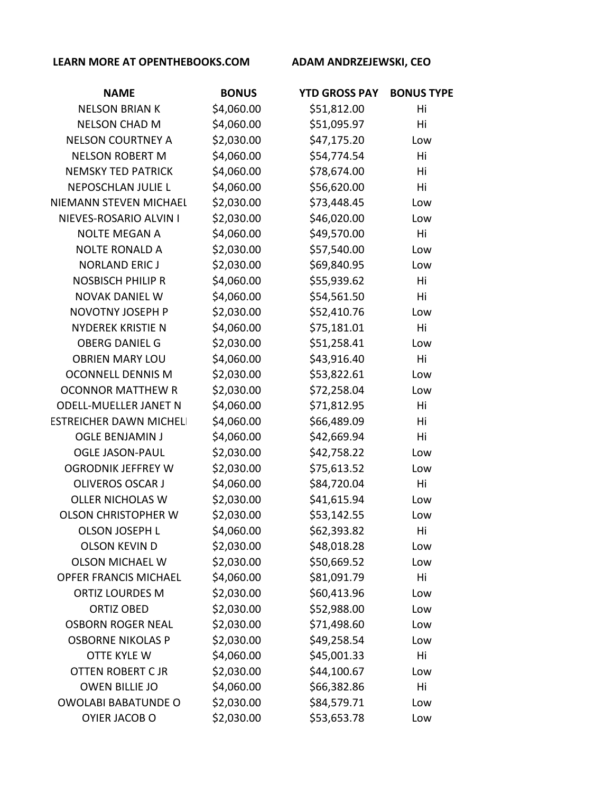| <b>NAME</b>                   | <b>BONUS</b> | <b>YTD GROSS PAY</b> | <b>BONUS TYPE</b> |
|-------------------------------|--------------|----------------------|-------------------|
| <b>NELSON BRIAN K</b>         | \$4,060.00   | \$51,812.00          | Hi                |
| <b>NELSON CHAD M</b>          | \$4,060.00   | \$51,095.97          | Hi                |
| <b>NELSON COURTNEY A</b>      | \$2,030.00   | \$47,175.20          | Low               |
| <b>NELSON ROBERT M</b>        | \$4,060.00   | \$54,774.54          | Hi                |
| <b>NEMSKY TED PATRICK</b>     | \$4,060.00   | \$78,674.00          | Hi                |
| <b>NEPOSCHLAN JULIE L</b>     | \$4,060.00   | \$56,620.00          | Hi                |
| NIEMANN STEVEN MICHAEL        | \$2,030.00   | \$73,448.45          | Low               |
| NIEVES-ROSARIO ALVIN I        | \$2,030.00   | \$46,020.00          | Low               |
| <b>NOLTE MEGAN A</b>          | \$4,060.00   | \$49,570.00          | Hi                |
| <b>NOLTE RONALD A</b>         | \$2,030.00   | \$57,540.00          | Low               |
| <b>NORLAND ERIC J</b>         | \$2,030.00   | \$69,840.95          | Low               |
| <b>NOSBISCH PHILIP R</b>      | \$4,060.00   | \$55,939.62          | Hi                |
| <b>NOVAK DANIEL W</b>         | \$4,060.00   | \$54,561.50          | Hi                |
| NOVOTNY JOSEPH P              | \$2,030.00   | \$52,410.76          | Low               |
| <b>NYDEREK KRISTIE N</b>      | \$4,060.00   | \$75,181.01          | Hi                |
| <b>OBERG DANIEL G</b>         | \$2,030.00   | \$51,258.41          | Low               |
| <b>OBRIEN MARY LOU</b>        | \$4,060.00   | \$43,916.40          | Hi                |
| <b>OCONNELL DENNIS M</b>      | \$2,030.00   | \$53,822.61          | Low               |
| <b>OCONNOR MATTHEW R</b>      | \$2,030.00   | \$72,258.04          | Low               |
| <b>ODELL-MUELLER JANET N</b>  | \$4,060.00   | \$71,812.95          | Hi                |
| <b>ESTREICHER DAWN MICHEL</b> | \$4,060.00   | \$66,489.09          | Hi                |
| <b>OGLE BENJAMIN J</b>        | \$4,060.00   | \$42,669.94          | Hi                |
| <b>OGLE JASON-PAUL</b>        | \$2,030.00   | \$42,758.22          | Low               |
| <b>OGRODNIK JEFFREY W</b>     | \$2,030.00   | \$75,613.52          | Low               |
| <b>OLIVEROS OSCAR J</b>       | \$4,060.00   | \$84,720.04          | Hi                |
| <b>OLLER NICHOLAS W</b>       | \$2,030.00   | \$41,615.94          | Low               |
| <b>OLSON CHRISTOPHER W</b>    | \$2,030.00   | \$53,142.55          | Low               |
| <b>OLSON JOSEPH L</b>         | \$4,060.00   | \$62,393.82          | Hi                |
| <b>OLSON KEVIN D</b>          | \$2,030.00   | \$48,018.28          | Low               |
| <b>OLSON MICHAEL W</b>        | \$2,030.00   | \$50,669.52          | Low               |
| <b>OPFER FRANCIS MICHAEL</b>  | \$4,060.00   | \$81,091.79          | Hi                |
| <b>ORTIZ LOURDES M</b>        | \$2,030.00   | \$60,413.96          | Low               |
| <b>ORTIZ OBED</b>             | \$2,030.00   | \$52,988.00          | Low               |
| <b>OSBORN ROGER NEAL</b>      | \$2,030.00   | \$71,498.60          | Low               |
| <b>OSBORNE NIKOLAS P</b>      | \$2,030.00   | \$49,258.54          | Low               |
| OTTE KYLE W                   | \$4,060.00   | \$45,001.33          | Hi                |
| <b>OTTEN ROBERT C JR</b>      | \$2,030.00   | \$44,100.67          | Low               |
| <b>OWEN BILLIE JO</b>         | \$4,060.00   | \$66,382.86          | Hi                |
| <b>OWOLABI BABATUNDE O</b>    | \$2,030.00   | \$84,579.71          | Low               |
| OYIER JACOB O                 | \$2,030.00   | \$53,653.78          | Low               |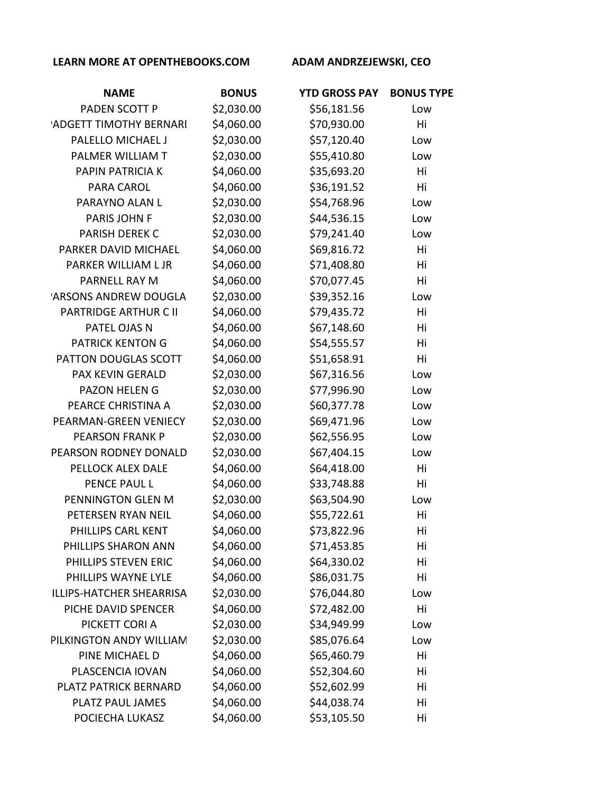| <b>NAME</b>              | <b>BONUS</b> | <b>YTD GROSS PAY</b> | <b>BONUS TYPE</b> |
|--------------------------|--------------|----------------------|-------------------|
| PADEN SCOTT P            | \$2,030.00   | \$56,181.56          | Low               |
| 'ADGETT TIMOTHY BERNARI  | \$4,060.00   | \$70,930.00          | Hi                |
| PALELLO MICHAEL J        | \$2,030.00   | \$57,120.40          | Low               |
| PALMER WILLIAM T         | \$2,030.00   | \$55,410.80          | Low               |
| PAPIN PATRICIA K         | \$4,060.00   | \$35,693.20          | Hi                |
| PARA CAROL               | \$4,060.00   | \$36,191.52          | Hi                |
| PARAYNO ALAN L           | \$2,030.00   | \$54,768.96          | Low               |
| PARIS JOHN F             | \$2,030.00   | \$44,536.15          | Low               |
| <b>PARISH DEREK C</b>    | \$2,030.00   | \$79,241.40          | Low               |
| PARKER DAVID MICHAEL     | \$4,060.00   | \$69,816.72          | Hi                |
| PARKER WILLIAM L JR      | \$4,060.00   | \$71,408.80          | Hi                |
| PARNELL RAY M            | \$4,060.00   | \$70,077.45          | Hi                |
| 'ARSONS ANDREW DOUGLA    | \$2,030.00   | \$39,352.16          | Low               |
| PARTRIDGE ARTHUR C II    | \$4,060.00   | \$79,435.72          | Hi                |
| PATEL OJAS N             | \$4,060.00   | \$67,148.60          | Hi                |
| <b>PATRICK KENTON G</b>  | \$4,060.00   | \$54,555.57          | Hi                |
| PATTON DOUGLAS SCOTT     | \$4,060.00   | \$51,658.91          | Hi                |
| PAX KEVIN GERALD         | \$2,030.00   | \$67,316.56          | Low               |
| <b>PAZON HELEN G</b>     | \$2,030.00   | \$77,996.90          | Low               |
| PEARCE CHRISTINA A       | \$2,030.00   | \$60,377.78          | Low               |
| PEARMAN-GREEN VENIECY    | \$2,030.00   | \$69,471.96          | Low               |
| <b>PEARSON FRANK P</b>   | \$2,030.00   | \$62,556.95          | Low               |
| PEARSON RODNEY DONALD    | \$2,030.00   | \$67,404.15          | Low               |
| PELLOCK ALEX DALE        | \$4,060.00   | \$64,418.00          | Hi                |
| PENCE PAUL L             | \$4,060.00   | \$33,748.88          | Hi                |
| PENNINGTON GLEN M        | \$2,030.00   | \$63,504.90          | Low               |
| PETERSEN RYAN NEIL       | \$4,060.00   | \$55,722.61          | Hi                |
| PHILLIPS CARL KENT       | \$4,060.00   | \$73,822.96          | Hi                |
| PHILLIPS SHARON ANN      | \$4,060.00   | \$71,453.85          | Hi                |
| PHILLIPS STEVEN ERIC     | \$4,060.00   | \$64,330.02          | Hi                |
| PHILLIPS WAYNE LYLE      | \$4,060.00   | \$86,031.75          | Hi                |
| ILLIPS-HATCHER SHEARRISA | \$2,030.00   | \$76,044.80          | Low               |
| PICHE DAVID SPENCER      | \$4,060.00   | \$72,482.00          | Hi                |
| PICKETT CORI A           | \$2,030.00   | \$34,949.99          | Low               |
| PILKINGTON ANDY WILLIAM  | \$2,030.00   | \$85,076.64          | Low               |
| PINE MICHAEL D           | \$4,060.00   | \$65,460.79          | Hi                |
| PLASCENCIA IOVAN         | \$4,060.00   | \$52,304.60          | Hi                |
| PLATZ PATRICK BERNARD    | \$4,060.00   | \$52,602.99          | Hi                |
| PLATZ PAUL JAMES         | \$4,060.00   | \$44,038.74          | Hi                |
| POCIECHA LUKASZ          | \$4,060.00   | \$53,105.50          | Hi                |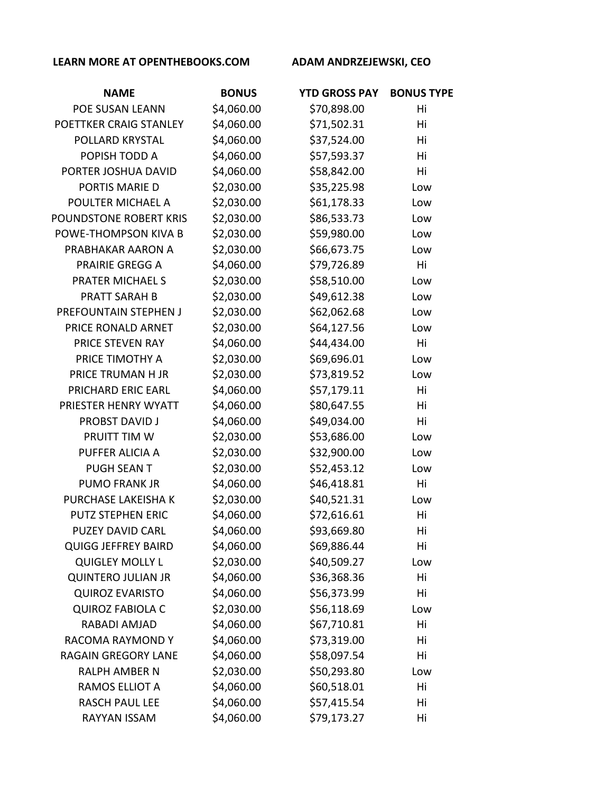| <b>NAME</b>                | <b>BONUS</b> | <b>YTD GROSS PAY</b> | <b>BONUS TYPE</b> |
|----------------------------|--------------|----------------------|-------------------|
| POE SUSAN LEANN            | \$4,060.00   | \$70,898.00          | Hi                |
| POETTKER CRAIG STANLEY     | \$4,060.00   | \$71,502.31          | Hi                |
| POLLARD KRYSTAL            | \$4,060.00   | \$37,524.00          | Hi                |
| POPISH TODD A              | \$4,060.00   | \$57,593.37          | Hi                |
| PORTER JOSHUA DAVID        | \$4,060.00   | \$58,842.00          | Hi                |
| PORTIS MARIE D             | \$2,030.00   | \$35,225.98          | Low               |
| POULTER MICHAEL A          | \$2,030.00   | \$61,178.33          | Low               |
| POUNDSTONE ROBERT KRIS     | \$2,030.00   | \$86,533.73          | Low               |
| POWE-THOMPSON KIVA B       | \$2,030.00   | \$59,980.00          | Low               |
| PRABHAKAR AARON A          | \$2,030.00   | \$66,673.75          | Low               |
| <b>PRAIRIE GREGG A</b>     | \$4,060.00   | \$79,726.89          | Hi                |
| <b>PRATER MICHAEL S</b>    | \$2,030.00   | \$58,510.00          | Low               |
| <b>PRATT SARAH B</b>       | \$2,030.00   | \$49,612.38          | Low               |
| PREFOUNTAIN STEPHEN J      | \$2,030.00   | \$62,062.68          | Low               |
| PRICE RONALD ARNET         | \$2,030.00   | \$64,127.56          | Low               |
| PRICE STEVEN RAY           | \$4,060.00   | \$44,434.00          | Hi                |
| PRICE TIMOTHY A            | \$2,030.00   | \$69,696.01          | Low               |
| PRICE TRUMAN H JR          | \$2,030.00   | \$73,819.52          | Low               |
| PRICHARD ERIC EARL         | \$4,060.00   | \$57,179.11          | Hi                |
| PRIESTER HENRY WYATT       | \$4,060.00   | \$80,647.55          | Hi                |
| <b>PROBST DAVID J</b>      | \$4,060.00   | \$49,034.00          | Hi                |
| PRUITT TIM W               | \$2,030.00   | \$53,686.00          | Low               |
| PUFFER ALICIA A            | \$2,030.00   | \$32,900.00          | Low               |
| <b>PUGH SEAN T</b>         | \$2,030.00   | \$52,453.12          | Low               |
| <b>PUMO FRANK JR</b>       | \$4,060.00   | \$46,418.81          | Hi                |
| PURCHASE LAKEISHA K        | \$2,030.00   | \$40,521.31          | Low               |
| <b>PUTZ STEPHEN ERIC</b>   | \$4,060.00   | \$72,616.61          | Hi                |
| <b>PUZEY DAVID CARL</b>    | \$4,060.00   | \$93,669.80          | Hi                |
| <b>QUIGG JEFFREY BAIRD</b> | \$4,060.00   | \$69,886.44          | Hi                |
| <b>QUIGLEY MOLLY L</b>     | \$2,030.00   | \$40,509.27          | Low               |
| <b>QUINTERO JULIAN JR</b>  | \$4,060.00   | \$36,368.36          | Hi                |
| <b>QUIROZ EVARISTO</b>     | \$4,060.00   | \$56,373.99          | Hi                |
| <b>QUIROZ FABIOLA C</b>    | \$2,030.00   | \$56,118.69          | Low               |
| RABADI AMJAD               | \$4,060.00   | \$67,710.81          | Hi                |
| RACOMA RAYMOND Y           | \$4,060.00   | \$73,319.00          | Hi                |
| RAGAIN GREGORY LANE        | \$4,060.00   | \$58,097.54          | Hi                |
| <b>RALPH AMBER N</b>       | \$2,030.00   | \$50,293.80          | Low               |
| RAMOS ELLIOT A             | \$4,060.00   | \$60,518.01          | Hi                |
| <b>RASCH PAUL LEE</b>      | \$4,060.00   | \$57,415.54          | Hi                |
| RAYYAN ISSAM               | \$4,060.00   | \$79,173.27          | Hi                |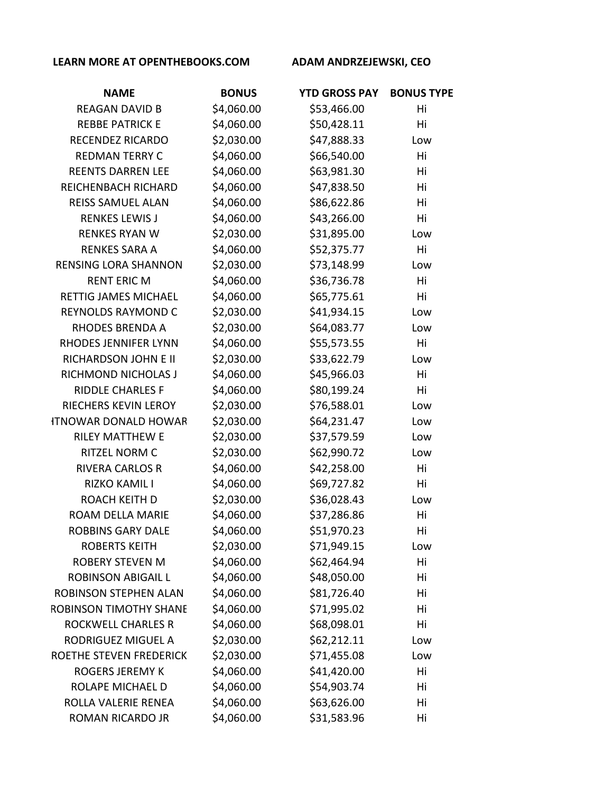| <b>NAME</b>                   | <b>BONUS</b> | <b>YTD GROSS PAY</b> | <b>BONUS TYPE</b> |
|-------------------------------|--------------|----------------------|-------------------|
| <b>REAGAN DAVID B</b>         | \$4,060.00   | \$53,466.00          | Hi                |
| <b>REBBE PATRICK E</b>        | \$4,060.00   | \$50,428.11          | Hi                |
| <b>RECENDEZ RICARDO</b>       | \$2,030.00   | \$47,888.33          | Low               |
| <b>REDMAN TERRY C</b>         | \$4,060.00   | \$66,540.00          | Hi                |
| <b>REENTS DARREN LEE</b>      | \$4,060.00   | \$63,981.30          | Hi                |
| <b>REICHENBACH RICHARD</b>    | \$4,060.00   | \$47,838.50          | Hi                |
| REISS SAMUEL ALAN             | \$4,060.00   | \$86,622.86          | Hi                |
| <b>RENKES LEWIS J</b>         | \$4,060.00   | \$43,266.00          | Hi                |
| <b>RENKES RYAN W</b>          | \$2,030.00   | \$31,895.00          | Low               |
| <b>RENKES SARA A</b>          | \$4,060.00   | \$52,375.77          | Hi                |
| <b>RENSING LORA SHANNON</b>   | \$2,030.00   | \$73,148.99          | Low               |
| <b>RENT ERIC M</b>            | \$4,060.00   | \$36,736.78          | Hi                |
| RETTIG JAMES MICHAEL          | \$4,060.00   | \$65,775.61          | Hi                |
| <b>REYNOLDS RAYMOND C</b>     | \$2,030.00   | \$41,934.15          | Low               |
| RHODES BRENDA A               | \$2,030.00   | \$64,083.77          | Low               |
| RHODES JENNIFER LYNN          | \$4,060.00   | \$55,573.55          | Hi                |
| RICHARDSON JOHN E II          | \$2,030.00   | \$33,622.79          | Low               |
| RICHMOND NICHOLAS J           | \$4,060.00   | \$45,966.03          | Hi                |
| <b>RIDDLE CHARLES F</b>       | \$4,060.00   | \$80,199.24          | Hi                |
| RIECHERS KEVIN LEROY          | \$2,030.00   | \$76,588.01          | Low               |
| <b>ITNOWAR DONALD HOWAR</b>   | \$2,030.00   | \$64,231.47          | Low               |
| <b>RILEY MATTHEW E</b>        | \$2,030.00   | \$37,579.59          | Low               |
| <b>RITZEL NORM C</b>          | \$2,030.00   | \$62,990.72          | Low               |
| <b>RIVERA CARLOS R</b>        | \$4,060.00   | \$42,258.00          | Hi                |
| RIZKO KAMIL I                 | \$4,060.00   | \$69,727.82          | Hi                |
| <b>ROACH KEITH D</b>          | \$2,030.00   | \$36,028.43          | Low               |
| ROAM DELLA MARIE              | \$4,060.00   | \$37,286.86          | Hi                |
| <b>ROBBINS GARY DALE</b>      | \$4,060.00   | \$51,970.23          | Hi                |
| <b>ROBERTS KEITH</b>          | \$2,030.00   | \$71,949.15          | Low               |
| <b>ROBERY STEVEN M</b>        | \$4,060.00   | \$62,464.94          | Hi                |
| <b>ROBINSON ABIGAIL L</b>     | \$4,060.00   | \$48,050.00          | Hi                |
| ROBINSON STEPHEN ALAN         | \$4,060.00   | \$81,726.40          | Hi                |
| <b>ROBINSON TIMOTHY SHANE</b> | \$4,060.00   | \$71,995.02          | Hi                |
| <b>ROCKWELL CHARLES R</b>     | \$4,060.00   | \$68,098.01          | Hi                |
| RODRIGUEZ MIGUEL A            | \$2,030.00   | \$62,212.11          | Low               |
| ROETHE STEVEN FREDERICK       | \$2,030.00   | \$71,455.08          | Low               |
| <b>ROGERS JEREMY K</b>        | \$4,060.00   | \$41,420.00          | Hi                |
| ROLAPE MICHAEL D              | \$4,060.00   | \$54,903.74          | Hi                |
| ROLLA VALERIE RENEA           | \$4,060.00   | \$63,626.00          | Hi                |
| ROMAN RICARDO JR              | \$4,060.00   | \$31,583.96          | Hi                |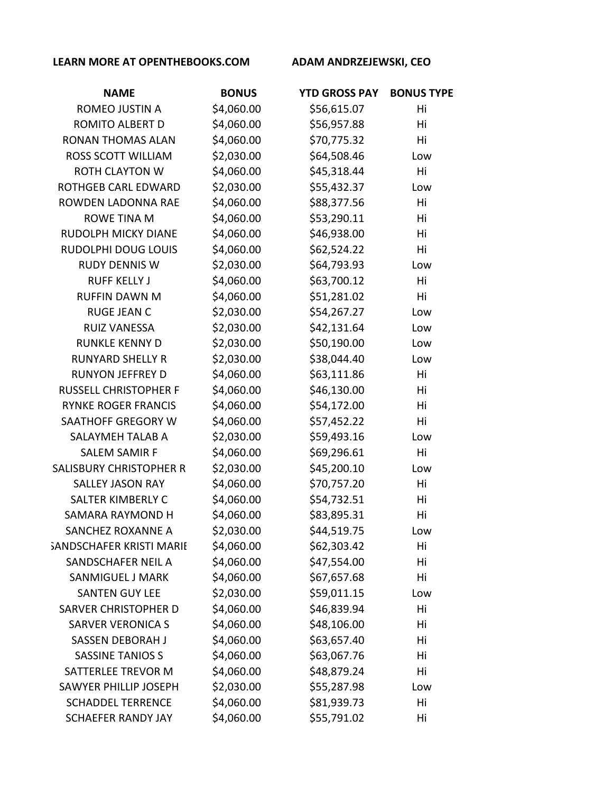| <b>NAME</b>                     | <b>BONUS</b> | <b>YTD GROSS PAY</b> | <b>BONUS TYPE</b> |
|---------------------------------|--------------|----------------------|-------------------|
| ROMEO JUSTIN A                  | \$4,060.00   | \$56,615.07          | Hi                |
| ROMITO ALBERT D                 | \$4,060.00   | \$56,957.88          | Hi                |
| <b>RONAN THOMAS ALAN</b>        | \$4,060.00   | \$70,775.32          | Hi                |
| <b>ROSS SCOTT WILLIAM</b>       | \$2,030.00   | \$64,508.46          | Low               |
| <b>ROTH CLAYTON W</b>           | \$4,060.00   | \$45,318.44          | Hi                |
| <b>ROTHGEB CARL EDWARD</b>      | \$2,030.00   | \$55,432.37          | Low               |
| ROWDEN LADONNA RAE              | \$4,060.00   | \$88,377.56          | Hi                |
| <b>ROWE TINA M</b>              | \$4,060.00   | \$53,290.11          | Hi                |
| <b>RUDOLPH MICKY DIANE</b>      | \$4,060.00   | \$46,938.00          | Hi                |
| RUDOLPHI DOUG LOUIS             | \$4,060.00   | \$62,524.22          | Hi                |
| <b>RUDY DENNIS W</b>            | \$2,030.00   | \$64,793.93          | Low               |
| <b>RUFF KELLY J</b>             | \$4,060.00   | \$63,700.12          | Hi                |
| <b>RUFFIN DAWN M</b>            | \$4,060.00   | \$51,281.02          | Hi                |
| <b>RUGE JEAN C</b>              | \$2,030.00   | \$54,267.27          | Low               |
| <b>RUIZ VANESSA</b>             | \$2,030.00   | \$42,131.64          | Low               |
| <b>RUNKLE KENNY D</b>           | \$2,030.00   | \$50,190.00          | Low               |
| <b>RUNYARD SHELLY R</b>         | \$2,030.00   | \$38,044.40          | Low               |
| <b>RUNYON JEFFREY D</b>         | \$4,060.00   | \$63,111.86          | Hi                |
| <b>RUSSELL CHRISTOPHER F</b>    | \$4,060.00   | \$46,130.00          | Hi                |
| <b>RYNKE ROGER FRANCIS</b>      | \$4,060.00   | \$54,172.00          | Hi                |
| SAATHOFF GREGORY W              | \$4,060.00   | \$57,452.22          | Hi                |
| SALAYMEH TALAB A                | \$2,030.00   | \$59,493.16          | Low               |
| <b>SALEM SAMIR F</b>            | \$4,060.00   | \$69,296.61          | Hi                |
| SALISBURY CHRISTOPHER R         | \$2,030.00   | \$45,200.10          | Low               |
| <b>SALLEY JASON RAY</b>         | \$4,060.00   | \$70,757.20          | Hi                |
| SALTER KIMBERLY C               | \$4,060.00   | \$54,732.51          | Hi                |
| <b>SAMARA RAYMOND H</b>         | \$4,060.00   | \$83,895.31          | Hi                |
| SANCHEZ ROXANNE A               | \$2,030.00   | \$44,519.75          | Low               |
| <b>SANDSCHAFER KRISTI MARII</b> | \$4,060.00   | \$62,303.42          | Hi                |
| SANDSCHAFER NEIL A              | \$4,060.00   | \$47,554.00          | Hi                |
| <b>SANMIGUEL J MARK</b>         | \$4,060.00   | \$67,657.68          | Hi                |
| <b>SANTEN GUY LEE</b>           | \$2,030.00   | \$59,011.15          | Low               |
| SARVER CHRISTOPHER D            | \$4,060.00   | \$46,839.94          | Hi                |
| <b>SARVER VERONICA S</b>        | \$4,060.00   | \$48,106.00          | Hi                |
| SASSEN DEBORAH J                | \$4,060.00   | \$63,657.40          | Hi                |
| <b>SASSINE TANIOS S</b>         | \$4,060.00   | \$63,067.76          | Hi                |
| SATTERLEE TREVOR M              | \$4,060.00   | \$48,879.24          | Hi                |
| <b>SAWYER PHILLIP JOSEPH</b>    | \$2,030.00   | \$55,287.98          | Low               |
| <b>SCHADDEL TERRENCE</b>        | \$4,060.00   | \$81,939.73          | Hi                |
| <b>SCHAEFER RANDY JAY</b>       | \$4,060.00   | \$55,791.02          | Hi                |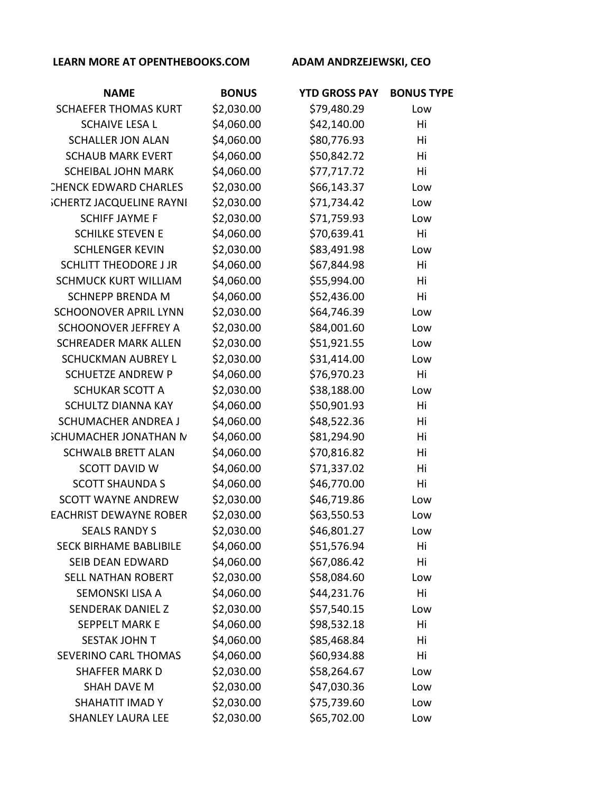| <b>NAME</b>                     | <b>BONUS</b> | <b>YTD GROSS PAY</b> | <b>BONUS TYPE</b> |
|---------------------------------|--------------|----------------------|-------------------|
| <b>SCHAEFER THOMAS KURT</b>     | \$2,030.00   | \$79,480.29          | Low               |
| <b>SCHAIVE LESA L</b>           | \$4,060.00   | \$42,140.00          | Hi                |
| <b>SCHALLER JON ALAN</b>        | \$4,060.00   | \$80,776.93          | Hi                |
| <b>SCHAUB MARK EVERT</b>        | \$4,060.00   | \$50,842.72          | Hi                |
| <b>SCHEIBAL JOHN MARK</b>       | \$4,060.00   | \$77,717.72          | Hi                |
| <b>CHENCK EDWARD CHARLES</b>    | \$2,030.00   | \$66,143.37          | Low               |
| <b>SCHERTZ JACQUELINE RAYNI</b> | \$2,030.00   | \$71,734.42          | Low               |
| <b>SCHIFF JAYME F</b>           | \$2,030.00   | \$71,759.93          | Low               |
| <b>SCHILKE STEVEN E</b>         | \$4,060.00   | \$70,639.41          | Hi                |
| <b>SCHLENGER KEVIN</b>          | \$2,030.00   | \$83,491.98          | Low               |
| <b>SCHLITT THEODORE J JR</b>    | \$4,060.00   | \$67,844.98          | Hi                |
| <b>SCHMUCK KURT WILLIAM</b>     | \$4,060.00   | \$55,994.00          | Hi                |
| <b>SCHNEPP BRENDA M</b>         | \$4,060.00   | \$52,436.00          | Hi                |
| <b>SCHOONOVER APRIL LYNN</b>    | \$2,030.00   | \$64,746.39          | Low               |
| <b>SCHOONOVER JEFFREY A</b>     | \$2,030.00   | \$84,001.60          | Low               |
| <b>SCHREADER MARK ALLEN</b>     | \$2,030.00   | \$51,921.55          | Low               |
| <b>SCHUCKMAN AUBREY L</b>       | \$2,030.00   | \$31,414.00          | Low               |
| <b>SCHUETZE ANDREW P</b>        | \$4,060.00   | \$76,970.23          | Hi                |
| <b>SCHUKAR SCOTT A</b>          | \$2,030.00   | \$38,188.00          | Low               |
| <b>SCHULTZ DIANNA KAY</b>       | \$4,060.00   | \$50,901.93          | Hi                |
| <b>SCHUMACHER ANDREA J</b>      | \$4,060.00   | \$48,522.36          | Hi                |
| <b>SCHUMACHER JONATHAN N</b>    | \$4,060.00   | \$81,294.90          | Hi                |
| <b>SCHWALB BRETT ALAN</b>       | \$4,060.00   | \$70,816.82          | Hi                |
| <b>SCOTT DAVID W</b>            | \$4,060.00   | \$71,337.02          | Hi                |
| <b>SCOTT SHAUNDA S</b>          | \$4,060.00   | \$46,770.00          | Hi                |
| <b>SCOTT WAYNE ANDREW</b>       | \$2,030.00   | \$46,719.86          | Low               |
| <b>EACHRIST DEWAYNE ROBER</b>   | \$2,030.00   | \$63,550.53          | Low               |
| <b>SEALS RANDY S</b>            | \$2,030.00   | \$46,801.27          | Low               |
| <b>SECK BIRHAME BABLIBILE</b>   | \$4,060.00   | \$51,576.94          | Hi                |
| SEIB DEAN EDWARD                | \$4,060.00   | \$67,086.42          | Hi                |
| <b>SELL NATHAN ROBERT</b>       | \$2,030.00   | \$58,084.60          | Low               |
| SEMONSKI LISA A                 | \$4,060.00   | \$44,231.76          | Hi                |
| <b>SENDERAK DANIEL Z</b>        | \$2,030.00   | \$57,540.15          | Low               |
| <b>SEPPELT MARK E</b>           | \$4,060.00   | \$98,532.18          | Hi                |
| <b>SESTAK JOHN T</b>            | \$4,060.00   | \$85,468.84          | Hi                |
| SEVERINO CARL THOMAS            | \$4,060.00   | \$60,934.88          | Hi                |
| <b>SHAFFER MARK D</b>           | \$2,030.00   | \$58,264.67          | Low               |
| SHAH DAVE M                     | \$2,030.00   | \$47,030.36          | Low               |
| SHAHATIT IMAD Y                 | \$2,030.00   | \$75,739.60          | Low               |
| <b>SHANLEY LAURA LEE</b>        | \$2,030.00   | \$65,702.00          | Low               |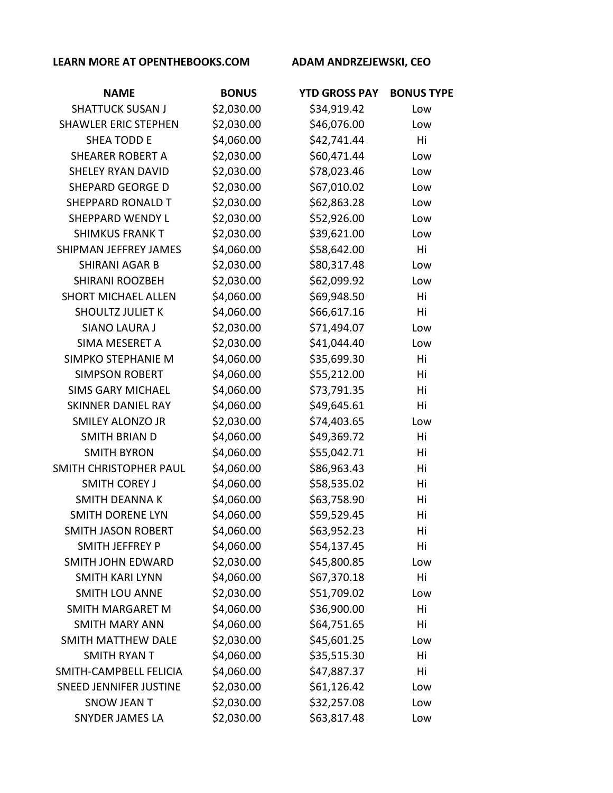| <b>NAME</b>                   | <b>BONUS</b> | <b>YTD GROSS PAY</b> | <b>BONUS TYPE</b> |
|-------------------------------|--------------|----------------------|-------------------|
| <b>SHATTUCK SUSAN J</b>       | \$2,030.00   | \$34,919.42          | Low               |
| <b>SHAWLER ERIC STEPHEN</b>   | \$2,030.00   | \$46,076.00          | Low               |
| <b>SHEA TODD E</b>            | \$4,060.00   | \$42,741.44          | Hi                |
| <b>SHEARER ROBERT A</b>       | \$2,030.00   | \$60,471.44          | Low               |
| <b>SHELEY RYAN DAVID</b>      | \$2,030.00   | \$78,023.46          | Low               |
| <b>SHEPARD GEORGE D</b>       | \$2,030.00   | \$67,010.02          | Low               |
| SHEPPARD RONALD T             | \$2,030.00   | \$62,863.28          | Low               |
| <b>SHEPPARD WENDY L</b>       | \$2,030.00   | \$52,926.00          | Low               |
| <b>SHIMKUS FRANK T</b>        | \$2,030.00   | \$39,621.00          | Low               |
| SHIPMAN JEFFREY JAMES         | \$4,060.00   | \$58,642.00          | Hi                |
| <b>SHIRANI AGAR B</b>         | \$2,030.00   | \$80,317.48          | Low               |
| <b>SHIRANI ROOZBEH</b>        | \$2,030.00   | \$62,099.92          | Low               |
| <b>SHORT MICHAEL ALLEN</b>    | \$4,060.00   | \$69,948.50          | Hi                |
| <b>SHOULTZ JULIET K</b>       | \$4,060.00   | \$66,617.16          | Hi                |
| <b>SIANO LAURA J</b>          | \$2,030.00   | \$71,494.07          | Low               |
| SIMA MESERET A                | \$2,030.00   | \$41,044.40          | Low               |
| SIMPKO STEPHANIE M            | \$4,060.00   | \$35,699.30          | Hi                |
| <b>SIMPSON ROBERT</b>         | \$4,060.00   | \$55,212.00          | Hi                |
| <b>SIMS GARY MICHAEL</b>      | \$4,060.00   | \$73,791.35          | Hi                |
| <b>SKINNER DANIEL RAY</b>     | \$4,060.00   | \$49,645.61          | Hi                |
| <b>SMILEY ALONZO JR</b>       | \$2,030.00   | \$74,403.65          | Low               |
| <b>SMITH BRIAN D</b>          | \$4,060.00   | \$49,369.72          | Hi                |
| <b>SMITH BYRON</b>            | \$4,060.00   | \$55,042.71          | Hi                |
| SMITH CHRISTOPHER PAUL        | \$4,060.00   | \$86,963.43          | Hi                |
| <b>SMITH COREY J</b>          | \$4,060.00   | \$58,535.02          | Hi                |
| <b>SMITH DEANNAK</b>          | \$4,060.00   | \$63,758.90          | Hi                |
| <b>SMITH DORENE LYN</b>       | \$4,060.00   | \$59,529.45          | Hi                |
| SMITH JASON ROBERT            | \$4,060.00   | \$63,952.23          | Hi                |
| SMITH JEFFREY P               | \$4,060.00   | \$54,137.45          | Hi                |
| <b>SMITH JOHN EDWARD</b>      | \$2,030.00   | \$45,800.85          | Low               |
| <b>SMITH KARI LYNN</b>        | \$4,060.00   | \$67,370.18          | Hi                |
| SMITH LOU ANNE                | \$2,030.00   | \$51,709.02          | Low               |
| SMITH MARGARET M              | \$4,060.00   | \$36,900.00          | Hi                |
| <b>SMITH MARY ANN</b>         | \$4,060.00   | \$64,751.65          | Hi                |
| SMITH MATTHEW DALE            | \$2,030.00   | \$45,601.25          | Low               |
| <b>SMITH RYAN T</b>           | \$4,060.00   | \$35,515.30          | Hi                |
| SMITH-CAMPBELL FELICIA        | \$4,060.00   | \$47,887.37          | Hi                |
| <b>SNEED JENNIFER JUSTINE</b> | \$2,030.00   | \$61,126.42          | Low               |
| <b>SNOW JEAN T</b>            | \$2,030.00   | \$32,257.08          | Low               |
| SNYDER JAMES LA               | \$2,030.00   | \$63,817.48          | Low               |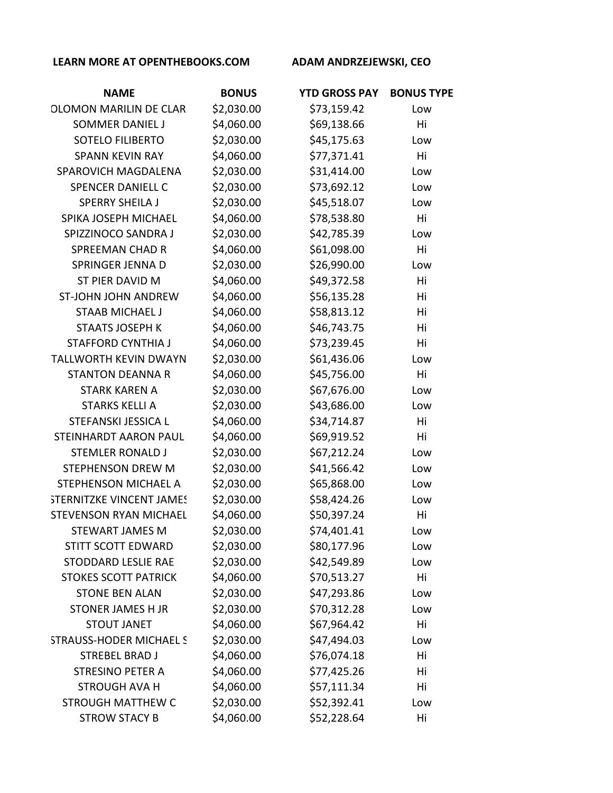| <b>NAME</b>                     | <b>BONUS</b> | <b>YTD GROSS PAY</b> | <b>BONUS TYPE</b> |
|---------------------------------|--------------|----------------------|-------------------|
| <b>OLOMON MARILIN DE CLAR</b>   | \$2,030.00   | \$73,159.42          | Low               |
| <b>SOMMER DANIEL J</b>          | \$4,060.00   | \$69,138.66          | Hi                |
| SOTELO FILIBERTO                | \$2,030.00   | \$45,175.63          | Low               |
| <b>SPANN KEVIN RAY</b>          | \$4,060.00   | \$77,371.41          | Hi                |
| SPAROVICH MAGDALENA             | \$2,030.00   | \$31,414.00          | Low               |
| <b>SPENCER DANIELL C</b>        | \$2,030.00   | \$73,692.12          | Low               |
| <b>SPERRY SHEILA J</b>          | \$2,030.00   | \$45,518.07          | Low               |
| SPIKA JOSEPH MICHAEL            | \$4,060.00   | \$78,538.80          | Hi                |
| SPIZZINOCO SANDRA J             | \$2,030.00   | \$42,785.39          | Low               |
| <b>SPREEMAN CHAD R</b>          | \$4,060.00   | \$61,098.00          | Hi                |
| SPRINGER JENNA D                | \$2,030.00   | \$26,990.00          | Low               |
| ST PIER DAVID M                 | \$4,060.00   | \$49,372.58          | Hi                |
| ST-JOHN JOHN ANDREW             | \$4,060.00   | \$56,135.28          | Hi                |
| <b>STAAB MICHAEL J</b>          | \$4,060.00   | \$58,813.12          | Hi                |
| <b>STAATS JOSEPH K</b>          | \$4,060.00   | \$46,743.75          | Hi                |
| <b>STAFFORD CYNTHIA J</b>       | \$4,060.00   | \$73,239.45          | Hi                |
| <b>TALLWORTH KEVIN DWAYN</b>    | \$2,030.00   | \$61,436.06          | Low               |
| <b>STANTON DEANNA R</b>         | \$4,060.00   | \$45,756.00          | Hi                |
| <b>STARK KAREN A</b>            | \$2,030.00   | \$67,676.00          | Low               |
| <b>STARKS KELLI A</b>           | \$2,030.00   | \$43,686.00          | Low               |
| STEFANSKI JESSICA L             | \$4,060.00   | \$34,714.87          | Hi                |
| STEINHARDT AARON PAUL           | \$4,060.00   | \$69,919.52          | Hi                |
| <b>STEMLER RONALD J</b>         | \$2,030.00   | \$67,212.24          | Low               |
| <b>STEPHENSON DREW M</b>        | \$2,030.00   | \$41,566.42          | Low               |
| STEPHENSON MICHAEL A            | \$2,030.00   | \$65,868.00          | Low               |
| <b>STERNITZKE VINCENT JAMES</b> | \$2,030.00   | \$58,424.26          | Low               |
| <b>STEVENSON RYAN MICHAEL</b>   | \$4,060.00   | \$50,397.24          | Hi                |
| STEWART JAMES M                 | \$2,030.00   | \$74,401.41          | Low               |
| STITT SCOTT EDWARD              | \$2,030.00   | \$80,177.96          | Low               |
| STODDARD LESLIE RAE             | \$2,030.00   | \$42,549.89          | Low               |
| <b>STOKES SCOTT PATRICK</b>     | \$4,060.00   | \$70,513.27          | Hi                |
| <b>STONE BEN ALAN</b>           | \$2,030.00   | \$47,293.86          | Low               |
| <b>STONER JAMES H JR</b>        | \$2,030.00   | \$70,312.28          | Low               |
| <b>STOUT JANET</b>              | \$4,060.00   | \$67,964.42          | Hi                |
| <b>STRAUSS-HODER MICHAEL S</b>  | \$2,030.00   | \$47,494.03          | Low               |
| <b>STREBEL BRAD J</b>           | \$4,060.00   | \$76,074.18          | Hi                |
| <b>STRESINO PETER A</b>         | \$4,060.00   | \$77,425.26          | Hi                |
| <b>STROUGH AVA H</b>            | \$4,060.00   | \$57,111.34          | Hi                |
| <b>STROUGH MATTHEW C</b>        | \$2,030.00   | \$52,392.41          | Low               |
| <b>STROW STACY B</b>            | \$4,060.00   | \$52,228.64          | Hi                |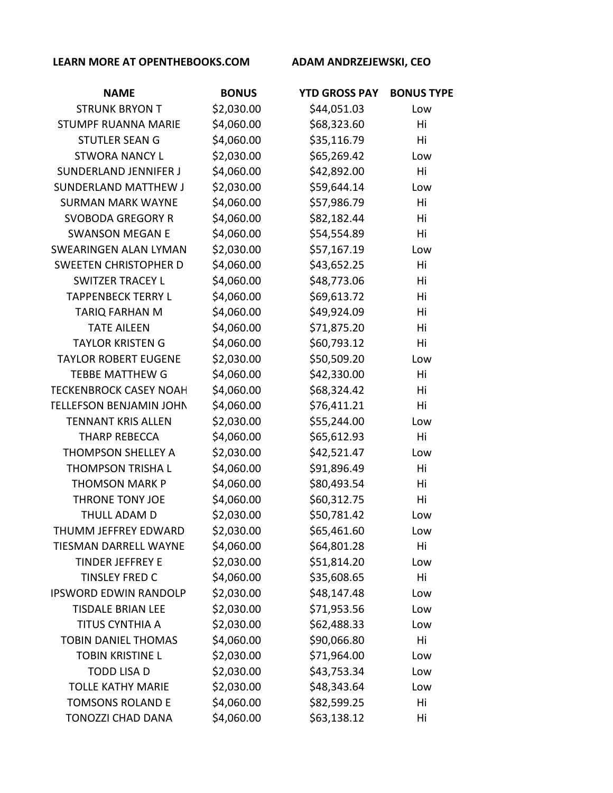| <b>NAME</b>                    | <b>BONUS</b> | <b>YTD GROSS PAY</b> | <b>BONUS TYPE</b> |
|--------------------------------|--------------|----------------------|-------------------|
| <b>STRUNK BRYON T</b>          | \$2,030.00   | \$44,051.03          | Low               |
| <b>STUMPF RUANNA MARIE</b>     | \$4,060.00   | \$68,323.60          | Hi                |
| <b>STUTLER SEAN G</b>          | \$4,060.00   | \$35,116.79          | Hi                |
| <b>STWORA NANCY L</b>          | \$2,030.00   | \$65,269.42          | Low               |
| <b>SUNDERLAND JENNIFER J</b>   | \$4,060.00   | \$42,892.00          | Hi                |
| <b>SUNDERLAND MATTHEW J</b>    | \$2,030.00   | \$59,644.14          | Low               |
| <b>SURMAN MARK WAYNE</b>       | \$4,060.00   | \$57,986.79          | Hi                |
| <b>SVOBODA GREGORY R</b>       | \$4,060.00   | \$82,182.44          | Hi                |
| <b>SWANSON MEGAN E</b>         | \$4,060.00   | \$54,554.89          | Hi                |
| <b>SWEARINGEN ALAN LYMAN</b>   | \$2,030.00   | \$57,167.19          | Low               |
| <b>SWEETEN CHRISTOPHER D</b>   | \$4,060.00   | \$43,652.25          | Hi                |
| <b>SWITZER TRACEY L</b>        | \$4,060.00   | \$48,773.06          | Hi                |
| <b>TAPPENBECK TERRY L</b>      | \$4,060.00   | \$69,613.72          | Hi                |
| <b>TARIQ FARHAN M</b>          | \$4,060.00   | \$49,924.09          | Hi                |
| <b>TATE AILEEN</b>             | \$4,060.00   | \$71,875.20          | Hi                |
| <b>TAYLOR KRISTEN G</b>        | \$4,060.00   | \$60,793.12          | Hi                |
| <b>TAYLOR ROBERT EUGENE</b>    | \$2,030.00   | \$50,509.20          | Low               |
| <b>TEBBE MATTHEW G</b>         | \$4,060.00   | \$42,330.00          | Hi                |
| <b>TECKENBROCK CASEY NOAH</b>  | \$4,060.00   | \$68,324.42          | Hi                |
| <b>TELLEFSON BENJAMIN JOHN</b> | \$4,060.00   | \$76,411.21          | Hi                |
| <b>TENNANT KRIS ALLEN</b>      | \$2,030.00   | \$55,244.00          | Low               |
| <b>THARP REBECCA</b>           | \$4,060.00   | \$65,612.93          | Hi                |
| THOMPSON SHELLEY A             | \$2,030.00   | \$42,521.47          | Low               |
| THOMPSON TRISHA L              | \$4,060.00   | \$91,896.49          | Hi                |
| <b>THOMSON MARK P</b>          | \$4,060.00   | \$80,493.54          | Hi                |
| <b>THRONE TONY JOE</b>         | \$4,060.00   | \$60,312.75          | Hi                |
| THULL ADAM D                   | \$2,030.00   | \$50,781.42          | Low               |
| THUMM JEFFREY EDWARD           | \$2,030.00   | \$65,461.60          | Low               |
| <b>TIESMAN DARRELL WAYNE</b>   | \$4,060.00   | \$64,801.28          | Hi                |
| <b>TINDER JEFFREY E</b>        | \$2,030.00   | \$51,814.20          | Low               |
| <b>TINSLEY FRED C</b>          | \$4,060.00   | \$35,608.65          | Hi                |
| <b>IPSWORD EDWIN RANDOLP</b>   | \$2,030.00   | \$48,147.48          | Low               |
| <b>TISDALE BRIAN LEE</b>       | \$2,030.00   | \$71,953.56          | Low               |
| TITUS CYNTHIA A                | \$2,030.00   | \$62,488.33          | Low               |
| <b>TOBIN DANIEL THOMAS</b>     | \$4,060.00   | \$90,066.80          | Hi                |
| <b>TOBIN KRISTINE L</b>        | \$2,030.00   | \$71,964.00          | Low               |
| <b>TODD LISA D</b>             | \$2,030.00   | \$43,753.34          | Low               |
| <b>TOLLE KATHY MARIE</b>       | \$2,030.00   | \$48,343.64          | Low               |
| <b>TOMSONS ROLAND E</b>        | \$4,060.00   | \$82,599.25          | Hi                |
| TONOZZI CHAD DANA              | \$4,060.00   | \$63,138.12          | Hi                |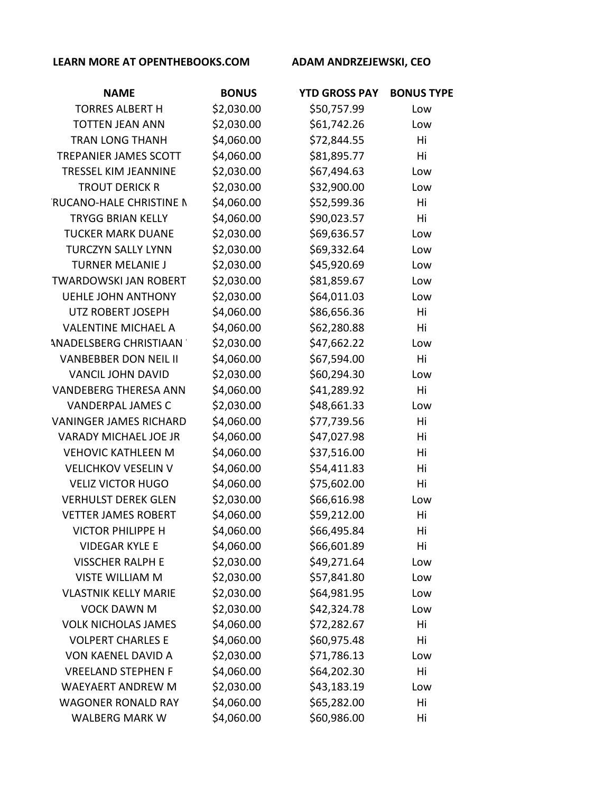| <b>NAME</b>                    | <b>BONUS</b> | <b>YTD GROSS PAY</b> | <b>BONUS TYPE</b> |
|--------------------------------|--------------|----------------------|-------------------|
| <b>TORRES ALBERT H</b>         | \$2,030.00   | \$50,757.99          | Low               |
| <b>TOTTEN JEAN ANN</b>         | \$2,030.00   | \$61,742.26          | Low               |
| <b>TRAN LONG THANH</b>         | \$4,060.00   | \$72,844.55          | Hi                |
| TREPANIER JAMES SCOTT          | \$4,060.00   | \$81,895.77          | Hi                |
| <b>TRESSEL KIM JEANNINE</b>    | \$2,030.00   | \$67,494.63          | Low               |
| <b>TROUT DERICK R</b>          | \$2,030.00   | \$32,900.00          | Low               |
| <b>RUCANO-HALE CHRISTINE N</b> | \$4,060.00   | \$52,599.36          | Hi                |
| <b>TRYGG BRIAN KELLY</b>       | \$4,060.00   | \$90,023.57          | Hi                |
| <b>TUCKER MARK DUANE</b>       | \$2,030.00   | \$69,636.57          | Low               |
| <b>TURCZYN SALLY LYNN</b>      | \$2,030.00   | \$69,332.64          | Low               |
| <b>TURNER MELANIE J</b>        | \$2,030.00   | \$45,920.69          | Low               |
| <b>TWARDOWSKI JAN ROBERT</b>   | \$2,030.00   | \$81,859.67          | Low               |
| <b>UEHLE JOHN ANTHONY</b>      | \$2,030.00   | \$64,011.03          | Low               |
| UTZ ROBERT JOSEPH              | \$4,060.00   | \$86,656.36          | Hi                |
| <b>VALENTINE MICHAEL A</b>     | \$4,060.00   | \$62,280.88          | Hi                |
| <b>ANADELSBERG CHRISTIAAN</b>  | \$2,030.00   | \$47,662.22          | Low               |
| <b>VANBEBBER DON NEIL II</b>   | \$4,060.00   | \$67,594.00          | Hi                |
| <b>VANCIL JOHN DAVID</b>       | \$2,030.00   | \$60,294.30          | Low               |
| <b>VANDEBERG THERESA ANN</b>   | \$4,060.00   | \$41,289.92          | Hi                |
| <b>VANDERPAL JAMES C</b>       | \$2,030.00   | \$48,661.33          | Low               |
| <b>VANINGER JAMES RICHARD</b>  | \$4,060.00   | \$77,739.56          | Hi                |
| <b>VARADY MICHAEL JOE JR</b>   | \$4,060.00   | \$47,027.98          | Hi                |
| <b>VEHOVIC KATHLEEN M</b>      | \$4,060.00   | \$37,516.00          | Hi                |
| <b>VELICHKOV VESELIN V</b>     | \$4,060.00   | \$54,411.83          | Hi                |
| <b>VELIZ VICTOR HUGO</b>       | \$4,060.00   | \$75,602.00          | Hi                |
| <b>VERHULST DEREK GLEN</b>     | \$2,030.00   | \$66,616.98          | Low               |
| <b>VETTER JAMES ROBERT</b>     | \$4,060.00   | \$59,212.00          | Hi                |
| <b>VICTOR PHILIPPE H</b>       | \$4,060.00   | \$66,495.84          | Hi                |
| <b>VIDEGAR KYLE E</b>          | \$4,060.00   | \$66,601.89          | Hi                |
| <b>VISSCHER RALPH E</b>        | \$2,030.00   | \$49,271.64          | Low               |
| <b>VISTE WILLIAM M</b>         | \$2,030.00   | \$57,841.80          | Low               |
| <b>VLASTNIK KELLY MARIE</b>    | \$2,030.00   | \$64,981.95          | Low               |
| <b>VOCK DAWN M</b>             | \$2,030.00   | \$42,324.78          | Low               |
| <b>VOLK NICHOLAS JAMES</b>     | \$4,060.00   | \$72,282.67          | Hi                |
| <b>VOLPERT CHARLES E</b>       | \$4,060.00   | \$60,975.48          | Hi                |
| <b>VON KAENEL DAVID A</b>      | \$2,030.00   | \$71,786.13          | Low               |
| <b>VREELAND STEPHEN F</b>      | \$4,060.00   | \$64,202.30          | Hi                |
| <b>WAEYAERT ANDREW M</b>       | \$2,030.00   | \$43,183.19          | Low               |
| <b>WAGONER RONALD RAY</b>      | \$4,060.00   | \$65,282.00          | Hi                |
| <b>WALBERG MARK W</b>          | \$4,060.00   | \$60,986.00          | Hi                |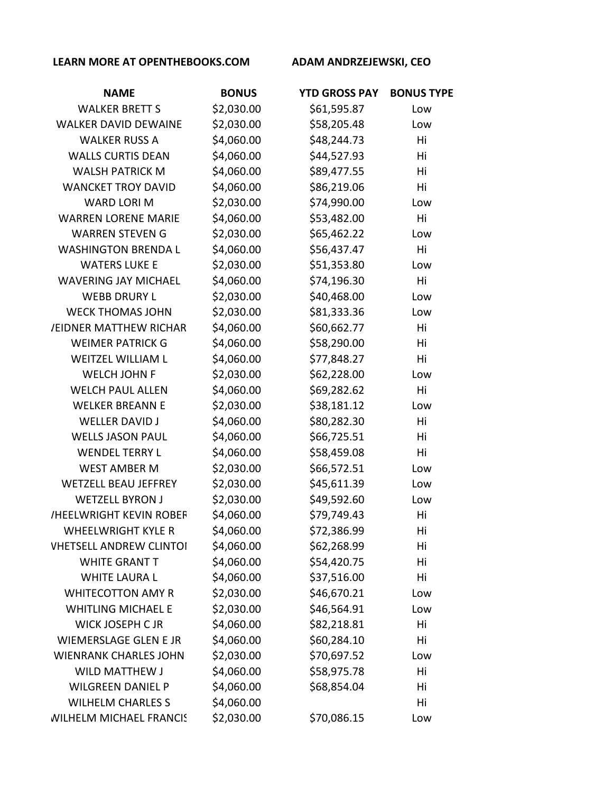| <b>NAME</b>                    | <b>BONUS</b> | <b>YTD GROSS PAY</b> | <b>BONUS TYPE</b> |
|--------------------------------|--------------|----------------------|-------------------|
| <b>WALKER BRETT S</b>          | \$2,030.00   | \$61,595.87          | Low               |
| <b>WALKER DAVID DEWAINE</b>    | \$2,030.00   | \$58,205.48          | Low               |
| <b>WALKER RUSS A</b>           | \$4,060.00   | \$48,244.73          | Hi                |
| <b>WALLS CURTIS DEAN</b>       | \$4,060.00   | \$44,527.93          | Hi                |
| <b>WALSH PATRICK M</b>         | \$4,060.00   | \$89,477.55          | Hi                |
| <b>WANCKET TROY DAVID</b>      | \$4,060.00   | \$86,219.06          | Hi                |
| <b>WARD LORI M</b>             | \$2,030.00   | \$74,990.00          | Low               |
| <b>WARREN LORENE MARIE</b>     | \$4,060.00   | \$53,482.00          | Hi                |
| <b>WARREN STEVEN G</b>         | \$2,030.00   | \$65,462.22          | Low               |
| <b>WASHINGTON BRENDA L</b>     | \$4,060.00   | \$56,437.47          | Hi                |
| <b>WATERS LUKE E</b>           | \$2,030.00   | \$51,353.80          | Low               |
| <b>WAVERING JAY MICHAEL</b>    | \$4,060.00   | \$74,196.30          | Hi                |
| <b>WEBB DRURY L</b>            | \$2,030.00   | \$40,468.00          | Low               |
| <b>WECK THOMAS JOHN</b>        | \$2,030.00   | \$81,333.36          | Low               |
| <b>JEIDNER MATTHEW RICHAR</b>  | \$4,060.00   | \$60,662.77          | Hi                |
| <b>WEIMER PATRICK G</b>        | \$4,060.00   | \$58,290.00          | Hi                |
| <b>WEITZEL WILLIAM L</b>       | \$4,060.00   | \$77,848.27          | Hi                |
| <b>WELCH JOHN F</b>            | \$2,030.00   | \$62,228.00          | Low               |
| <b>WELCH PAUL ALLEN</b>        | \$4,060.00   | \$69,282.62          | Hi                |
| <b>WELKER BREANN E</b>         | \$2,030.00   | \$38,181.12          | Low               |
| <b>WELLER DAVID J</b>          | \$4,060.00   | \$80,282.30          | Hi                |
| <b>WELLS JASON PAUL</b>        | \$4,060.00   | \$66,725.51          | Hi                |
| <b>WENDEL TERRY L</b>          | \$4,060.00   | \$58,459.08          | Hi                |
| <b>WEST AMBER M</b>            | \$2,030.00   | \$66,572.51          | Low               |
| <b>WETZELL BEAU JEFFREY</b>    | \$2,030.00   | \$45,611.39          | Low               |
| <b>WETZELL BYRON J</b>         | \$2,030.00   | \$49,592.60          | Low               |
| <b>/HEELWRIGHT KEVIN ROBEF</b> | \$4,060.00   | \$79,749.43          | Hi                |
| <b>WHEELWRIGHT KYLE R</b>      | \$4,060.00   | \$72,386.99          | Hi                |
| <b>VHETSELL ANDREW CLINTOI</b> | \$4,060.00   | \$62,268.99          | Hi                |
| <b>WHITE GRANT T</b>           | \$4,060.00   | \$54,420.75          | Hi                |
| <b>WHITE LAURA L</b>           | \$4,060.00   | \$37,516.00          | Hi                |
| <b>WHITECOTTON AMY R</b>       | \$2,030.00   | \$46,670.21          | Low               |
| <b>WHITLING MICHAEL E</b>      | \$2,030.00   | \$46,564.91          | Low               |
| <b>WICK JOSEPH C JR</b>        | \$4,060.00   | \$82,218.81          | Hi                |
| WIEMERSLAGE GLEN E JR          | \$4,060.00   | \$60,284.10          | Hi                |
| <b>WIENRANK CHARLES JOHN</b>   | \$2,030.00   | \$70,697.52          | Low               |
| <b>WILD MATTHEW J</b>          | \$4,060.00   | \$58,975.78          | Hi                |
| <b>WILGREEN DANIEL P</b>       | \$4,060.00   | \$68,854.04          | Hi                |
| <b>WILHELM CHARLES S</b>       | \$4,060.00   |                      | Hi                |
| <b>WILHELM MICHAEL FRANCIS</b> | \$2,030.00   | \$70,086.15          | Low               |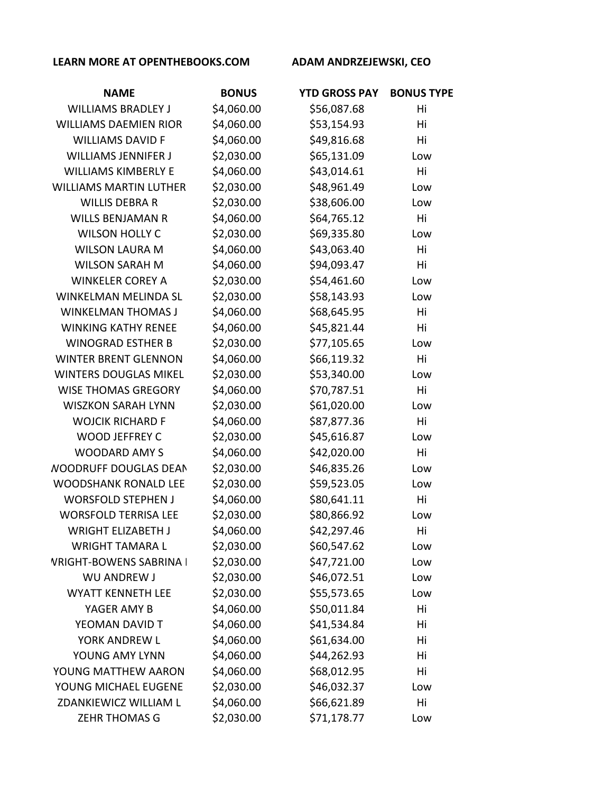| <b>NAME</b>                    | <b>BONUS</b> | <b>YTD GROSS PAY</b> | <b>BONUS TYPE</b> |
|--------------------------------|--------------|----------------------|-------------------|
| <b>WILLIAMS BRADLEY J</b>      | \$4,060.00   | \$56,087.68          | Hi                |
| <b>WILLIAMS DAEMIEN RIOR</b>   | \$4,060.00   | \$53,154.93          | Hi                |
| <b>WILLIAMS DAVID F</b>        | \$4,060.00   | \$49,816.68          | Hi                |
| <b>WILLIAMS JENNIFER J</b>     | \$2,030.00   | \$65,131.09          | Low               |
| <b>WILLIAMS KIMBERLY E</b>     | \$4,060.00   | \$43,014.61          | Hi                |
| <b>WILLIAMS MARTIN LUTHER</b>  | \$2,030.00   | \$48,961.49          | Low               |
| <b>WILLIS DEBRA R</b>          | \$2,030.00   | \$38,606.00          | Low               |
| <b>WILLS BENJAMAN R</b>        | \$4,060.00   | \$64,765.12          | Hi                |
| <b>WILSON HOLLY C</b>          | \$2,030.00   | \$69,335.80          | Low               |
| <b>WILSON LAURA M</b>          | \$4,060.00   | \$43,063.40          | Hi                |
| <b>WILSON SARAH M</b>          | \$4,060.00   | \$94,093.47          | Hi                |
| <b>WINKELER COREY A</b>        | \$2,030.00   | \$54,461.60          | Low               |
| <b>WINKELMAN MELINDA SL</b>    | \$2,030.00   | \$58,143.93          | Low               |
| <b>WINKELMAN THOMAS J</b>      | \$4,060.00   | \$68,645.95          | Hi                |
| <b>WINKING KATHY RENEE</b>     | \$4,060.00   | \$45,821.44          | Hi                |
| <b>WINOGRAD ESTHER B</b>       | \$2,030.00   | \$77,105.65          | Low               |
| <b>WINTER BRENT GLENNON</b>    | \$4,060.00   | \$66,119.32          | Hi                |
| <b>WINTERS DOUGLAS MIKEL</b>   | \$2,030.00   | \$53,340.00          | Low               |
| <b>WISE THOMAS GREGORY</b>     | \$4,060.00   | \$70,787.51          | Hi                |
| <b>WISZKON SARAH LYNN</b>      | \$2,030.00   | \$61,020.00          | Low               |
| <b>WOJCIK RICHARD F</b>        | \$4,060.00   | \$87,877.36          | Hi                |
| WOOD JEFFREY C                 | \$2,030.00   | \$45,616.87          | Low               |
| <b>WOODARD AMY S</b>           | \$4,060.00   | \$42,020.00          | Hi                |
| <b>NOODRUFF DOUGLAS DEAN</b>   | \$2,030.00   | \$46,835.26          | Low               |
| <b>WOODSHANK RONALD LEE</b>    | \$2,030.00   | \$59,523.05          | Low               |
| <b>WORSFOLD STEPHEN J</b>      | \$4,060.00   | \$80,641.11          | Hi                |
| <b>WORSFOLD TERRISA LEE</b>    | \$2,030.00   | \$80,866.92          | Low               |
| <b>WRIGHT ELIZABETH J</b>      | \$4,060.00   | \$42,297.46          | Hi                |
| <b>WRIGHT TAMARA L</b>         | \$2,030.00   | \$60,547.62          | Low               |
| <b>VRIGHT-BOWENS SABRINA I</b> | \$2,030.00   | \$47,721.00          | Low               |
| <b>WU ANDREW J</b>             | \$2,030.00   | \$46,072.51          | Low               |
| <b>WYATT KENNETH LEE</b>       | \$2,030.00   | \$55,573.65          | Low               |
| YAGER AMY B                    | \$4,060.00   | \$50,011.84          | Hi                |
| YEOMAN DAVID T                 | \$4,060.00   | \$41,534.84          | Hi                |
| YORK ANDREW L                  | \$4,060.00   | \$61,634.00          | Hi                |
| YOUNG AMY LYNN                 | \$4,060.00   | \$44,262.93          | Hi                |
| YOUNG MATTHEW AARON            | \$4,060.00   | \$68,012.95          | Hi                |
| YOUNG MICHAEL EUGENE           | \$2,030.00   | \$46,032.37          | Low               |
| ZDANKIEWICZ WILLIAM L          | \$4,060.00   | \$66,621.89          | Hi                |
| <b>ZEHR THOMAS G</b>           | \$2,030.00   | \$71,178.77          | Low               |